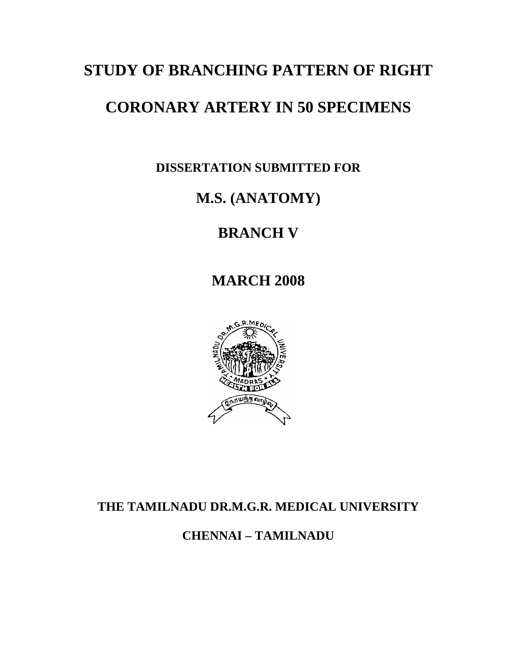## **STUDY OF BRANCHING PATTERN OF RIGHT**

## **CORONARY ARTERY IN 50 SPECIMENS**

**DISSERTATION SUBMITTED FOR** 

# **M.S. (ANATOMY)**

# **BRANCH V**

**MARCH 2008** 



### **THE TAMILNADU DR.M.G.R. MEDICAL UNIVERSITY**

**CHENNAI – TAMILNADU**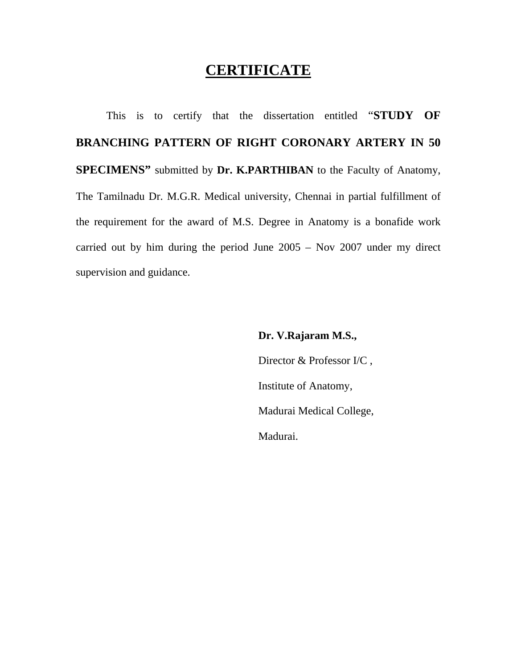## **CERTIFICATE**

This is to certify that the dissertation entitled "**STUDY OF BRANCHING PATTERN OF RIGHT CORONARY ARTERY IN 50 SPECIMENS"** submitted by **Dr. K.PARTHIBAN** to the Faculty of Anatomy, The Tamilnadu Dr. M.G.R. Medical university, Chennai in partial fulfillment of the requirement for the award of M.S. Degree in Anatomy is a bonafide work carried out by him during the period June 2005 – Nov 2007 under my direct supervision and guidance.

#### **Dr. V.Rajaram M.S.,**

 Director & Professor I/C , Institute of Anatomy, Madurai Medical College, Madurai.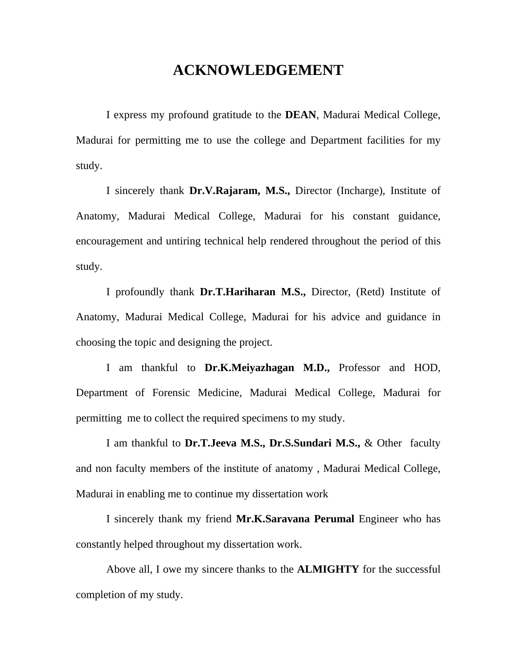## **ACKNOWLEDGEMENT**

 I express my profound gratitude to the **DEAN**, Madurai Medical College, Madurai for permitting me to use the college and Department facilities for my study.

 I sincerely thank **Dr.V.Rajaram, M.S.,** Director (Incharge), Institute of Anatomy, Madurai Medical College, Madurai for his constant guidance, encouragement and untiring technical help rendered throughout the period of this study.

 I profoundly thank **Dr.T.Hariharan M.S.,** Director, (Retd) Institute of Anatomy, Madurai Medical College, Madurai for his advice and guidance in choosing the topic and designing the project.

 I am thankful to **Dr.K.Meiyazhagan M.D.,** Professor and HOD, Department of Forensic Medicine, Madurai Medical College, Madurai for permitting me to collect the required specimens to my study.

 I am thankful to **Dr.T.Jeeva M.S., Dr.S.Sundari M.S.,** & Other faculty and non faculty members of the institute of anatomy , Madurai Medical College, Madurai in enabling me to continue my dissertation work

 I sincerely thank my friend **Mr.K.Saravana Perumal** Engineer who has constantly helped throughout my dissertation work.

 Above all, I owe my sincere thanks to the **ALMIGHTY** for the successful completion of my study.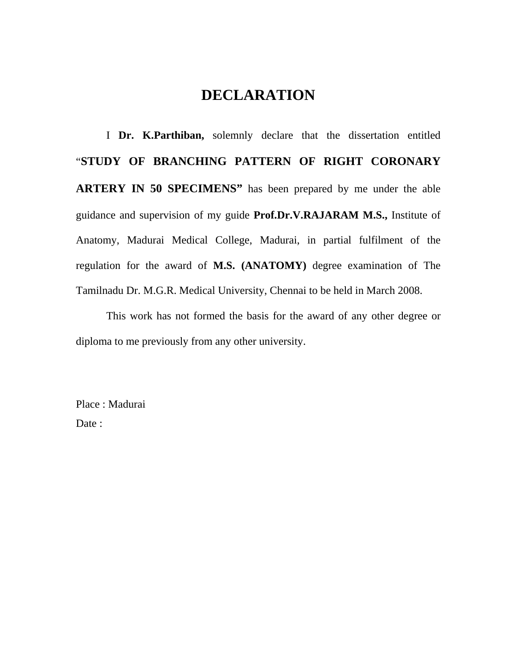## **DECLARATION**

 I **Dr. K.Parthiban,** solemnly declare that the dissertation entitled "**STUDY OF BRANCHING PATTERN OF RIGHT CORONARY ARTERY IN 50 SPECIMENS"** has been prepared by me under the able guidance and supervision of my guide **Prof.Dr.V.RAJARAM M.S.,** Institute of Anatomy, Madurai Medical College, Madurai, in partial fulfilment of the regulation for the award of **M.S. (ANATOMY)** degree examination of The Tamilnadu Dr. M.G.R. Medical University, Chennai to be held in March 2008.

 This work has not formed the basis for the award of any other degree or diploma to me previously from any other university.

Place : Madurai Date :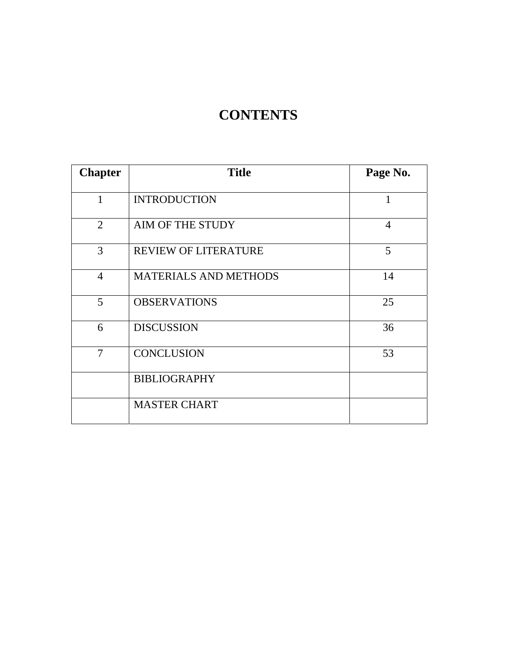# **CONTENTS**

| <b>Chapter</b> | <b>Title</b>                 | Page No.       |
|----------------|------------------------------|----------------|
| $\mathbf{1}$   | <b>INTRODUCTION</b>          | 1              |
| 2              | AIM OF THE STUDY             | $\overline{4}$ |
| 3              | <b>REVIEW OF LITERATURE</b>  | 5              |
| $\overline{4}$ | <b>MATERIALS AND METHODS</b> | 14             |
| 5              | <b>OBSERVATIONS</b>          | 25             |
| 6              | <b>DISCUSSION</b>            | 36             |
| $\overline{7}$ | <b>CONCLUSION</b>            | 53             |
|                | <b>BIBLIOGRAPHY</b>          |                |
|                | <b>MASTER CHART</b>          |                |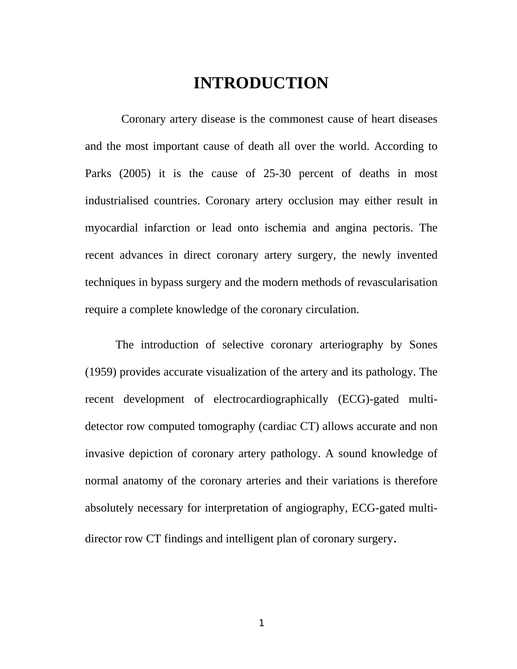## **INTRODUCTION**

 Coronary artery disease is the commonest cause of heart diseases and the most important cause of death all over the world. According to Parks (2005) it is the cause of 25-30 percent of deaths in most industrialised countries. Coronary artery occlusion may either result in myocardial infarction or lead onto ischemia and angina pectoris. The recent advances in direct coronary artery surgery, the newly invented techniques in bypass surgery and the modern methods of revascularisation require a complete knowledge of the coronary circulation.

 The introduction of selective coronary arteriography by Sones (1959) provides accurate visualization of the artery and its pathology. The recent development of electrocardiographically (ECG)-gated multidetector row computed tomography (cardiac CT) allows accurate and non invasive depiction of coronary artery pathology. A sound knowledge of normal anatomy of the coronary arteries and their variations is therefore absolutely necessary for interpretation of angiography, ECG-gated multidirector row CT findings and intelligent plan of coronary surgery.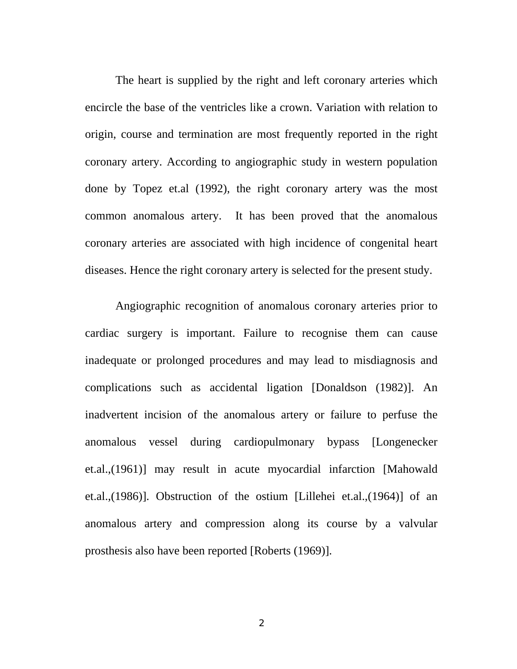The heart is supplied by the right and left coronary arteries which encircle the base of the ventricles like a crown. Variation with relation to origin, course and termination are most frequently reported in the right coronary artery. According to angiographic study in western population done by Topez et.al (1992), the right coronary artery was the most common anomalous artery. It has been proved that the anomalous coronary arteries are associated with high incidence of congenital heart diseases. Hence the right coronary artery is selected for the present study.

Angiographic recognition of anomalous coronary arteries prior to cardiac surgery is important. Failure to recognise them can cause inadequate or prolonged procedures and may lead to misdiagnosis and complications such as accidental ligation [Donaldson (1982)]. An inadvertent incision of the anomalous artery or failure to perfuse the anomalous vessel during cardiopulmonary bypass [Longenecker et.al.,(1961)] may result in acute myocardial infarction [Mahowald et.al.,(1986)]. Obstruction of the ostium [Lillehei et.al.,(1964)] of an anomalous artery and compression along its course by a valvular prosthesis also have been reported [Roberts (1969)].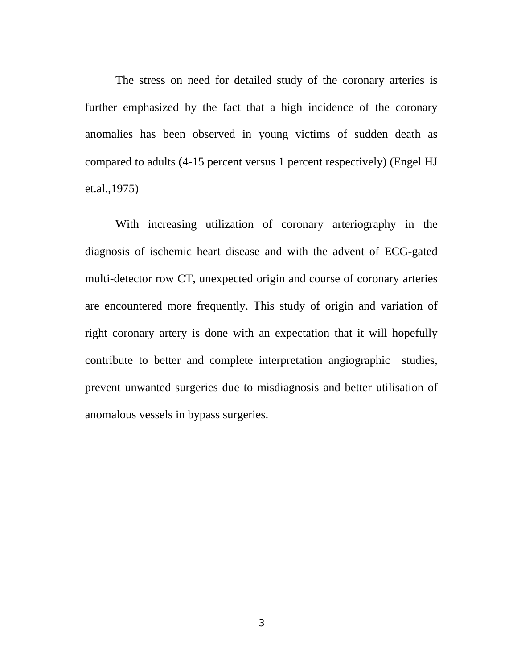The stress on need for detailed study of the coronary arteries is further emphasized by the fact that a high incidence of the coronary anomalies has been observed in young victims of sudden death as compared to adults (4-15 percent versus 1 percent respectively) (Engel HJ et.al.,1975)

With increasing utilization of coronary arteriography in the diagnosis of ischemic heart disease and with the advent of ECG-gated multi-detector row CT, unexpected origin and course of coronary arteries are encountered more frequently. This study of origin and variation of right coronary artery is done with an expectation that it will hopefully contribute to better and complete interpretation angiographic studies, prevent unwanted surgeries due to misdiagnosis and better utilisation of anomalous vessels in bypass surgeries.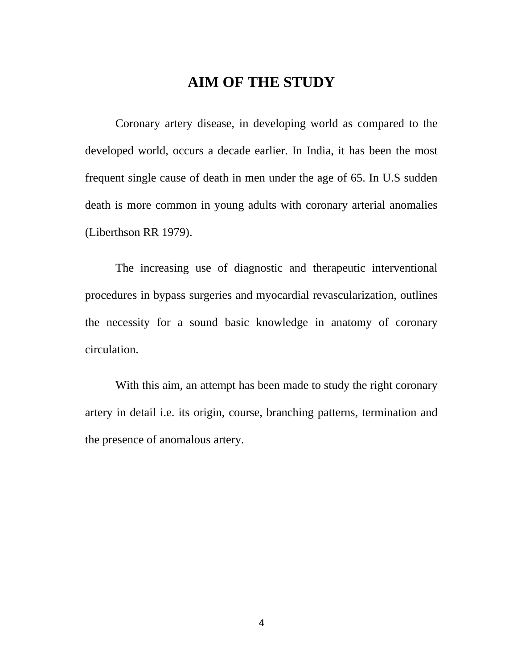## **AIM OF THE STUDY**

Coronary artery disease, in developing world as compared to the developed world, occurs a decade earlier. In India, it has been the most frequent single cause of death in men under the age of 65. In U.S sudden death is more common in young adults with coronary arterial anomalies (Liberthson RR 1979).

The increasing use of diagnostic and therapeutic interventional procedures in bypass surgeries and myocardial revascularization, outlines the necessity for a sound basic knowledge in anatomy of coronary circulation.

With this aim, an attempt has been made to study the right coronary artery in detail i.e. its origin, course, branching patterns, termination and the presence of anomalous artery.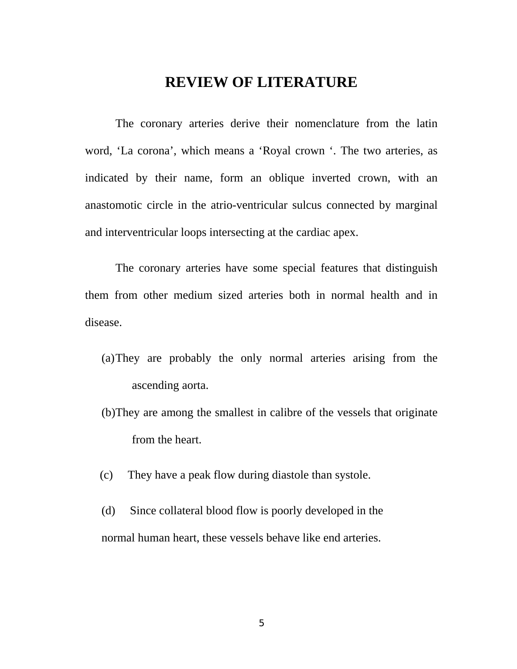### **REVIEW OF LITERATURE**

 The coronary arteries derive their nomenclature from the latin word, 'La corona', which means a 'Royal crown '. The two arteries, as indicated by their name, form an oblique inverted crown, with an anastomotic circle in the atrio-ventricular sulcus connected by marginal and interventricular loops intersecting at the cardiac apex.

 The coronary arteries have some special features that distinguish them from other medium sized arteries both in normal health and in disease.

- (a)They are probably the only normal arteries arising from the ascending aorta.
- (b)They are among the smallest in calibre of the vessels that originate from the heart.
- (c) They have a peak flow during diastole than systole.
- (d) Since collateral blood flow is poorly developed in the normal human heart, these vessels behave like end arteries.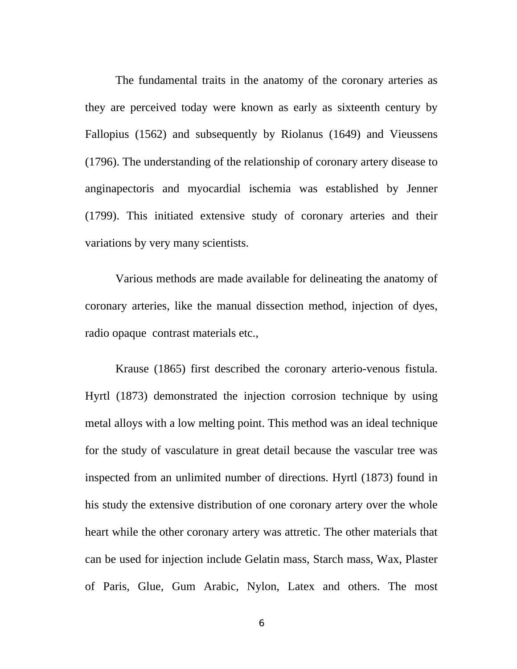The fundamental traits in the anatomy of the coronary arteries as they are perceived today were known as early as sixteenth century by Fallopius (1562) and subsequently by Riolanus (1649) and Vieussens (1796). The understanding of the relationship of coronary artery disease to anginapectoris and myocardial ischemia was established by Jenner (1799). This initiated extensive study of coronary arteries and their variations by very many scientists.

 Various methods are made available for delineating the anatomy of coronary arteries, like the manual dissection method, injection of dyes, radio opaque contrast materials etc.,

 Krause (1865) first described the coronary arterio-venous fistula. Hyrtl (1873) demonstrated the injection corrosion technique by using metal alloys with a low melting point. This method was an ideal technique for the study of vasculature in great detail because the vascular tree was inspected from an unlimited number of directions. Hyrtl (1873) found in his study the extensive distribution of one coronary artery over the whole heart while the other coronary artery was attretic. The other materials that can be used for injection include Gelatin mass, Starch mass, Wax, Plaster of Paris, Glue, Gum Arabic, Nylon, Latex and others. The most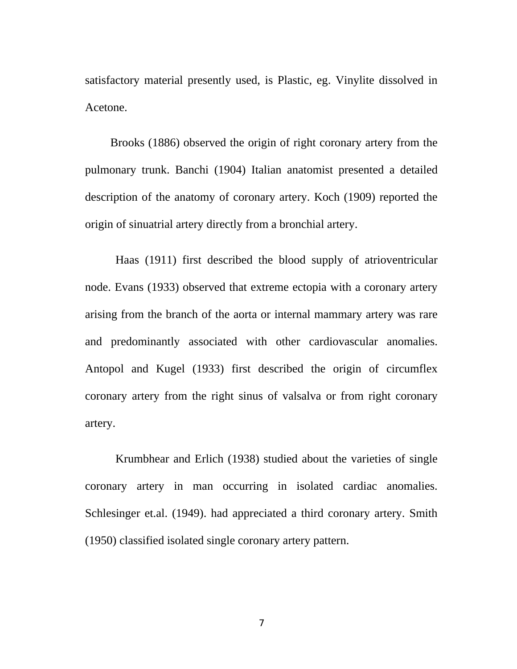satisfactory material presently used, is Plastic, eg. Vinylite dissolved in Acetone.

 Brooks (1886) observed the origin of right coronary artery from the pulmonary trunk. Banchi (1904) Italian anatomist presented a detailed description of the anatomy of coronary artery. Koch (1909) reported the origin of sinuatrial artery directly from a bronchial artery.

Haas (1911) first described the blood supply of atrioventricular node. Evans (1933) observed that extreme ectopia with a coronary artery arising from the branch of the aorta or internal mammary artery was rare and predominantly associated with other cardiovascular anomalies. Antopol and Kugel (1933) first described the origin of circumflex coronary artery from the right sinus of valsalva or from right coronary artery.

 Krumbhear and Erlich (1938) studied about the varieties of single coronary artery in man occurring in isolated cardiac anomalies. Schlesinger et.al. (1949). had appreciated a third coronary artery. Smith (1950) classified isolated single coronary artery pattern.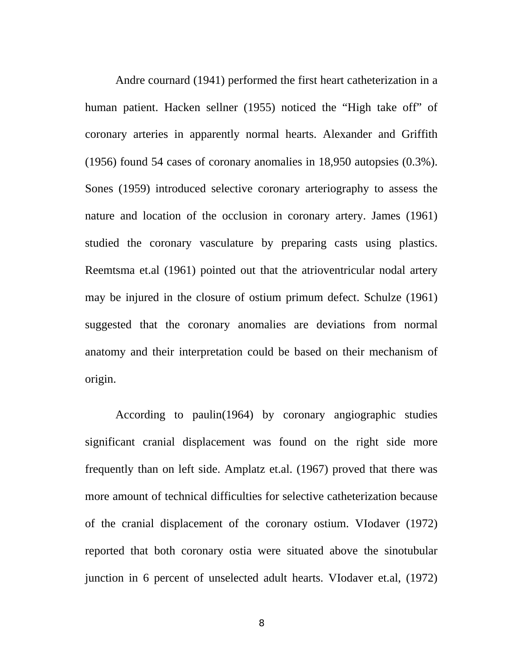Andre cournard (1941) performed the first heart catheterization in a human patient. Hacken sellner (1955) noticed the "High take off" of coronary arteries in apparently normal hearts. Alexander and Griffith (1956) found 54 cases of coronary anomalies in 18,950 autopsies (0.3%). Sones (1959) introduced selective coronary arteriography to assess the nature and location of the occlusion in coronary artery. James (1961) studied the coronary vasculature by preparing casts using plastics. Reemtsma et.al (1961) pointed out that the atrioventricular nodal artery may be injured in the closure of ostium primum defect. Schulze (1961) suggested that the coronary anomalies are deviations from normal anatomy and their interpretation could be based on their mechanism of origin.

According to paulin(1964) by coronary angiographic studies significant cranial displacement was found on the right side more frequently than on left side. Amplatz et.al. (1967) proved that there was more amount of technical difficulties for selective catheterization because of the cranial displacement of the coronary ostium. VIodaver (1972) reported that both coronary ostia were situated above the sinotubular junction in 6 percent of unselected adult hearts. VIodaver et.al, (1972)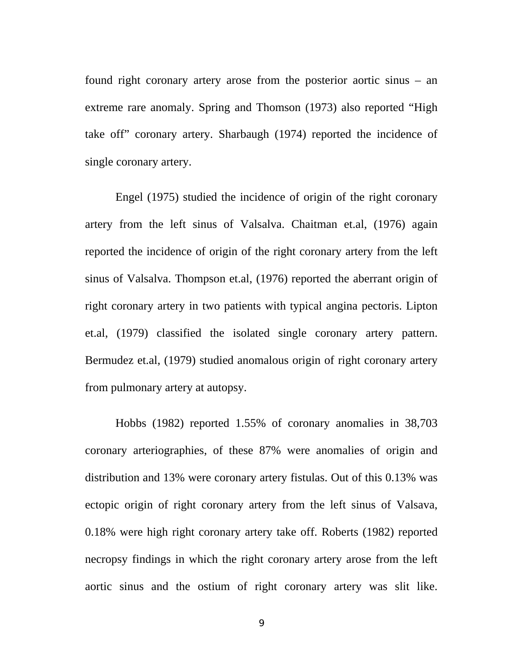found right coronary artery arose from the posterior aortic sinus – an extreme rare anomaly. Spring and Thomson (1973) also reported "High take off" coronary artery. Sharbaugh (1974) reported the incidence of single coronary artery.

Engel (1975) studied the incidence of origin of the right coronary artery from the left sinus of Valsalva. Chaitman et.al, (1976) again reported the incidence of origin of the right coronary artery from the left sinus of Valsalva. Thompson et.al, (1976) reported the aberrant origin of right coronary artery in two patients with typical angina pectoris. Lipton et.al, (1979) classified the isolated single coronary artery pattern. Bermudez et.al, (1979) studied anomalous origin of right coronary artery from pulmonary artery at autopsy.

Hobbs (1982) reported 1.55% of coronary anomalies in 38,703 coronary arteriographies, of these 87% were anomalies of origin and distribution and 13% were coronary artery fistulas. Out of this 0.13% was ectopic origin of right coronary artery from the left sinus of Valsava, 0.18% were high right coronary artery take off. Roberts (1982) reported necropsy findings in which the right coronary artery arose from the left aortic sinus and the ostium of right coronary artery was slit like.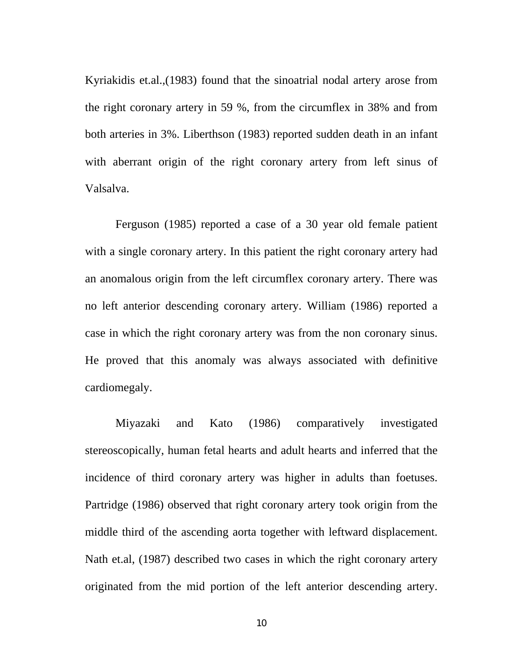Kyriakidis et.al.,(1983) found that the sinoatrial nodal artery arose from the right coronary artery in 59 %, from the circumflex in 38% and from both arteries in 3%. Liberthson (1983) reported sudden death in an infant with aberrant origin of the right coronary artery from left sinus of Valsalva.

Ferguson (1985) reported a case of a 30 year old female patient with a single coronary artery. In this patient the right coronary artery had an anomalous origin from the left circumflex coronary artery. There was no left anterior descending coronary artery. William (1986) reported a case in which the right coronary artery was from the non coronary sinus. He proved that this anomaly was always associated with definitive cardiomegaly.

Miyazaki and Kato (1986) comparatively investigated stereoscopically, human fetal hearts and adult hearts and inferred that the incidence of third coronary artery was higher in adults than foetuses. Partridge (1986) observed that right coronary artery took origin from the middle third of the ascending aorta together with leftward displacement. Nath et.al, (1987) described two cases in which the right coronary artery originated from the mid portion of the left anterior descending artery.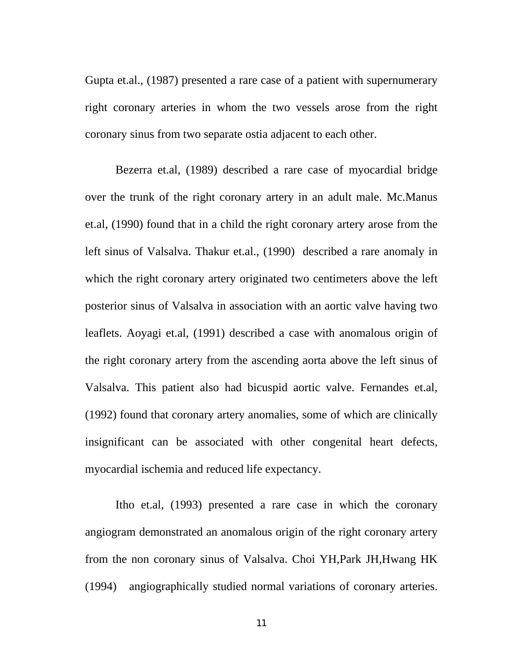Gupta et.al., (1987) presented a rare case of a patient with supernumerary right coronary arteries in whom the two vessels arose from the right coronary sinus from two separate ostia adjacent to each other.

Bezerra et.al, (1989) described a rare case of myocardial bridge over the trunk of the right coronary artery in an adult male. Mc.Manus et.al, (1990) found that in a child the right coronary artery arose from the left sinus of Valsalva. Thakur et.al., (1990) described a rare anomaly in which the right coronary artery originated two centimeters above the left posterior sinus of Valsalva in association with an aortic valve having two leaflets. Aoyagi et.al, (1991) described a case with anomalous origin of the right coronary artery from the ascending aorta above the left sinus of Valsalva. This patient also had bicuspid aortic valve. Fernandes et.al, (1992) found that coronary artery anomalies, some of which are clinically insignificant can be associated with other congenital heart defects, myocardial ischemia and reduced life expectancy.

Itho et.al, (1993) presented a rare case in which the coronary angiogram demonstrated an anomalous origin of the right coronary artery from the non coronary sinus of Valsalva. Choi YH,Park JH,Hwang HK (1994) angiographically studied normal variations of coronary arteries.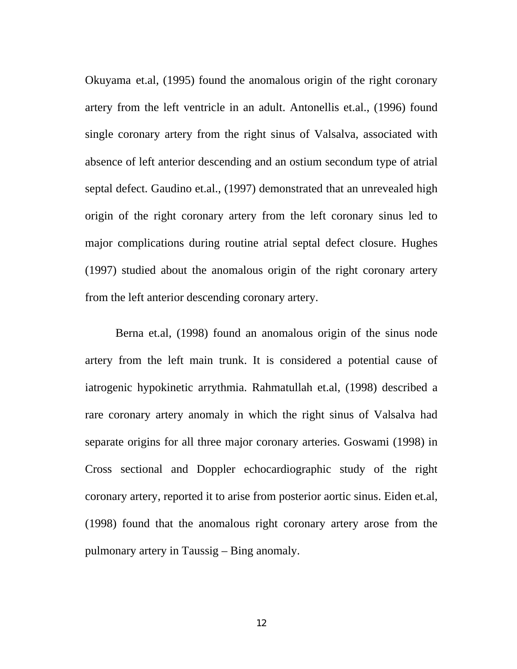Okuyama et.al, (1995) found the anomalous origin of the right coronary artery from the left ventricle in an adult. Antonellis et.al., (1996) found single coronary artery from the right sinus of Valsalva, associated with absence of left anterior descending and an ostium secondum type of atrial septal defect. Gaudino et.al., (1997) demonstrated that an unrevealed high origin of the right coronary artery from the left coronary sinus led to major complications during routine atrial septal defect closure. Hughes (1997) studied about the anomalous origin of the right coronary artery from the left anterior descending coronary artery.

Berna et.al, (1998) found an anomalous origin of the sinus node artery from the left main trunk. It is considered a potential cause of iatrogenic hypokinetic arrythmia. Rahmatullah et.al, (1998) described a rare coronary artery anomaly in which the right sinus of Valsalva had separate origins for all three major coronary arteries. Goswami (1998) in Cross sectional and Doppler echocardiographic study of the right coronary artery, reported it to arise from posterior aortic sinus. Eiden et.al, (1998) found that the anomalous right coronary artery arose from the pulmonary artery in Taussig – Bing anomaly.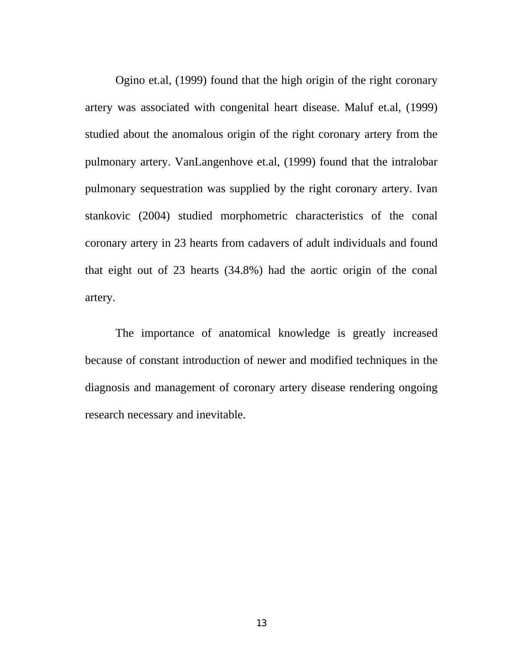Ogino et.al, (1999) found that the high origin of the right coronary artery was associated with congenital heart disease. Maluf et.al, (1999) studied about the anomalous origin of the right coronary artery from the pulmonary artery. VanLangenhove et.al, (1999) found that the intralobar pulmonary sequestration was supplied by the right coronary artery. Ivan stankovic (2004) studied morphometric characteristics of the conal coronary artery in 23 hearts from cadavers of adult individuals and found that eight out of 23 hearts (34.8%) had the aortic origin of the conal artery.

The importance of anatomical knowledge is greatly increased because of constant introduction of newer and modified techniques in the diagnosis and management of coronary artery disease rendering ongoing research necessary and inevitable.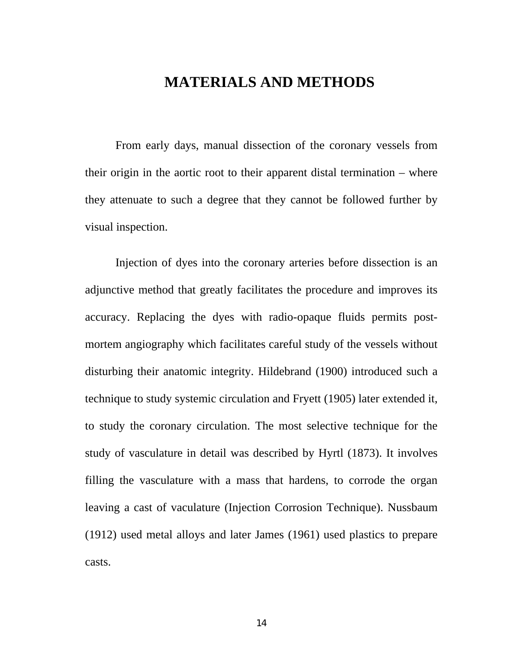## **MATERIALS AND METHODS**

From early days, manual dissection of the coronary vessels from their origin in the aortic root to their apparent distal termination – where they attenuate to such a degree that they cannot be followed further by visual inspection.

Injection of dyes into the coronary arteries before dissection is an adjunctive method that greatly facilitates the procedure and improves its accuracy. Replacing the dyes with radio-opaque fluids permits postmortem angiography which facilitates careful study of the vessels without disturbing their anatomic integrity. Hildebrand (1900) introduced such a technique to study systemic circulation and Fryett (1905) later extended it, to study the coronary circulation. The most selective technique for the study of vasculature in detail was described by Hyrtl (1873). It involves filling the vasculature with a mass that hardens, to corrode the organ leaving a cast of vaculature (Injection Corrosion Technique). Nussbaum (1912) used metal alloys and later James (1961) used plastics to prepare casts.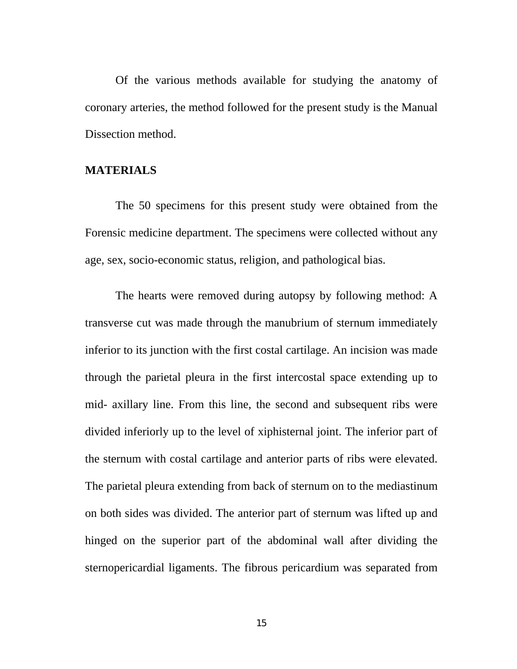Of the various methods available for studying the anatomy of coronary arteries, the method followed for the present study is the Manual Dissection method.

#### **MATERIALS**

The 50 specimens for this present study were obtained from the Forensic medicine department. The specimens were collected without any age, sex, socio-economic status, religion, and pathological bias.

The hearts were removed during autopsy by following method: A transverse cut was made through the manubrium of sternum immediately inferior to its junction with the first costal cartilage. An incision was made through the parietal pleura in the first intercostal space extending up to mid- axillary line. From this line, the second and subsequent ribs were divided inferiorly up to the level of xiphisternal joint. The inferior part of the sternum with costal cartilage and anterior parts of ribs were elevated. The parietal pleura extending from back of sternum on to the mediastinum on both sides was divided. The anterior part of sternum was lifted up and hinged on the superior part of the abdominal wall after dividing the sternopericardial ligaments. The fibrous pericardium was separated from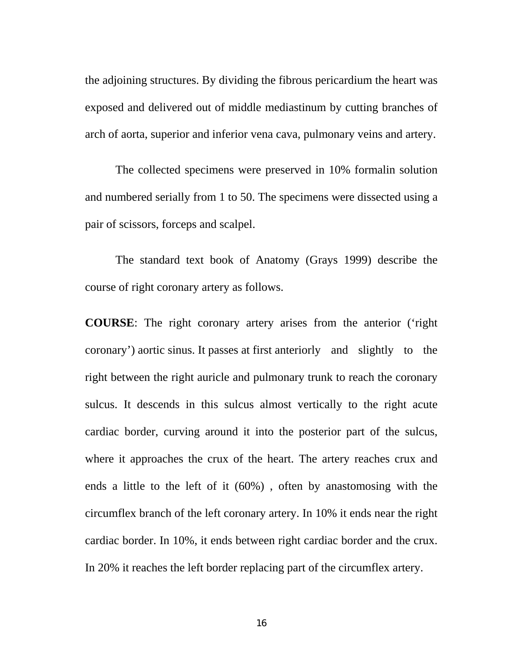the adjoining structures. By dividing the fibrous pericardium the heart was exposed and delivered out of middle mediastinum by cutting branches of arch of aorta, superior and inferior vena cava, pulmonary veins and artery.

The collected specimens were preserved in 10% formalin solution and numbered serially from 1 to 50. The specimens were dissected using a pair of scissors, forceps and scalpel.

The standard text book of Anatomy (Grays 1999) describe the course of right coronary artery as follows.

**COURSE**: The right coronary artery arises from the anterior ('right coronary') aortic sinus. It passes at first anteriorly and slightly to the right between the right auricle and pulmonary trunk to reach the coronary sulcus. It descends in this sulcus almost vertically to the right acute cardiac border, curving around it into the posterior part of the sulcus, where it approaches the crux of the heart. The artery reaches crux and ends a little to the left of it (60%) , often by anastomosing with the circumflex branch of the left coronary artery. In 10% it ends near the right cardiac border. In 10%, it ends between right cardiac border and the crux. In 20% it reaches the left border replacing part of the circumflex artery.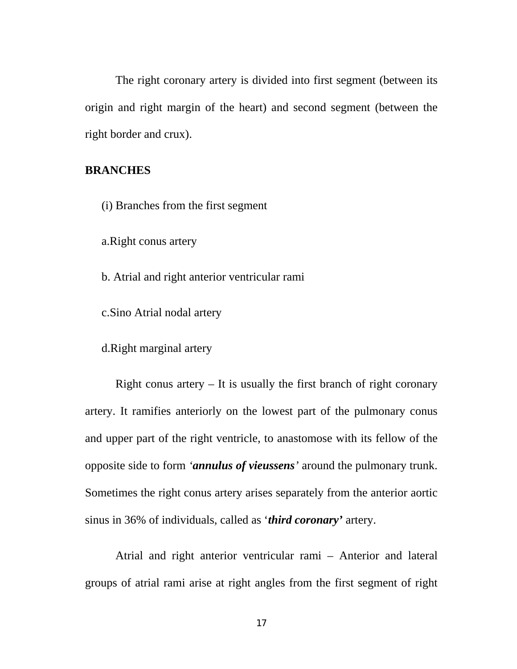The right coronary artery is divided into first segment (between its origin and right margin of the heart) and second segment (between the right border and crux).

#### **BRANCHES**

(i) Branches from the first segment

a.Right conus artery

b. Atrial and right anterior ventricular rami

c.Sino Atrial nodal artery

d.Right marginal artery

Right conus artery  $-$  It is usually the first branch of right coronary artery. It ramifies anteriorly on the lowest part of the pulmonary conus and upper part of the right ventricle, to anastomose with its fellow of the opposite side to form *'annulus of vieussens'* around the pulmonary trunk. Sometimes the right conus artery arises separately from the anterior aortic sinus in 36% of individuals, called as '*third coronary'* artery.

Atrial and right anterior ventricular rami – Anterior and lateral groups of atrial rami arise at right angles from the first segment of right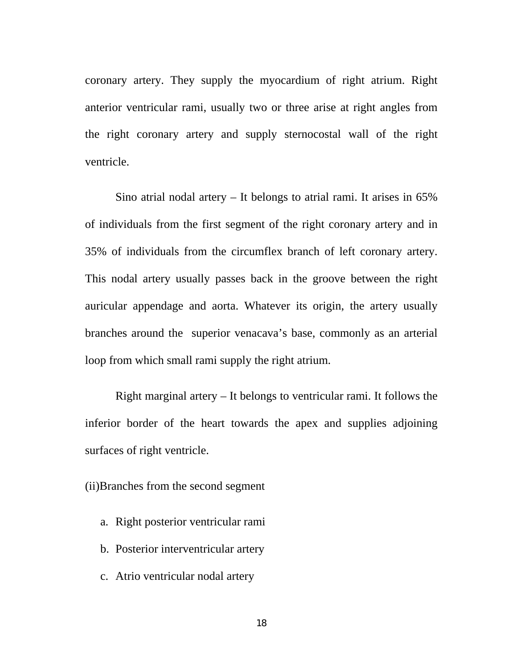coronary artery. They supply the myocardium of right atrium. Right anterior ventricular rami, usually two or three arise at right angles from the right coronary artery and supply sternocostal wall of the right ventricle.

Sino atrial nodal artery – It belongs to atrial rami. It arises in 65% of individuals from the first segment of the right coronary artery and in 35% of individuals from the circumflex branch of left coronary artery. This nodal artery usually passes back in the groove between the right auricular appendage and aorta. Whatever its origin, the artery usually branches around the superior venacava's base, commonly as an arterial loop from which small rami supply the right atrium.

Right marginal artery – It belongs to ventricular rami. It follows the inferior border of the heart towards the apex and supplies adjoining surfaces of right ventricle.

(ii)Branches from the second segment

- a. Right posterior ventricular rami
- b. Posterior interventricular artery
- c. Atrio ventricular nodal artery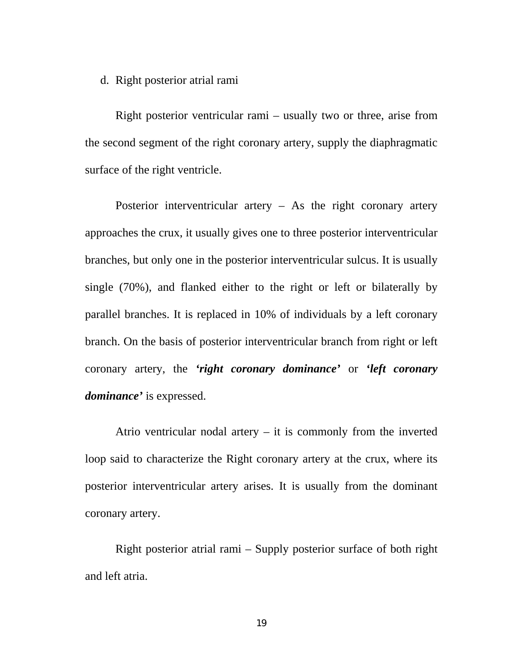#### d. Right posterior atrial rami

Right posterior ventricular rami – usually two or three, arise from the second segment of the right coronary artery, supply the diaphragmatic surface of the right ventricle.

Posterior interventricular artery – As the right coronary artery approaches the crux, it usually gives one to three posterior interventricular branches, but only one in the posterior interventricular sulcus. It is usually single (70%), and flanked either to the right or left or bilaterally by parallel branches. It is replaced in 10% of individuals by a left coronary branch. On the basis of posterior interventricular branch from right or left coronary artery, the *'right coronary dominance'* or *'left coronary dominance'* is expressed.

Atrio ventricular nodal artery – it is commonly from the inverted loop said to characterize the Right coronary artery at the crux, where its posterior interventricular artery arises. It is usually from the dominant coronary artery.

Right posterior atrial rami – Supply posterior surface of both right and left atria.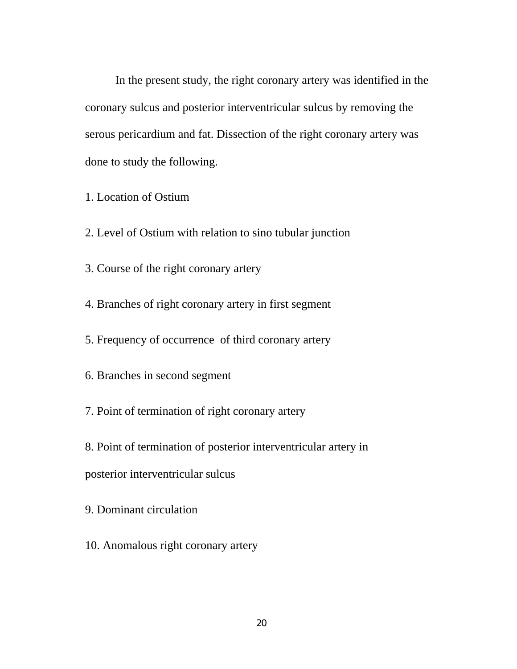In the present study, the right coronary artery was identified in the coronary sulcus and posterior interventricular sulcus by removing the serous pericardium and fat. Dissection of the right coronary artery was done to study the following.

- 1. Location of Ostium
- 2. Level of Ostium with relation to sino tubular junction
- 3. Course of the right coronary artery
- 4. Branches of right coronary artery in first segment
- 5. Frequency of occurrence of third coronary artery
- 6. Branches in second segment
- 7. Point of termination of right coronary artery
- 8. Point of termination of posterior interventricular artery in
- posterior interventricular sulcus
- 9. Dominant circulation
- 10. Anomalous right coronary artery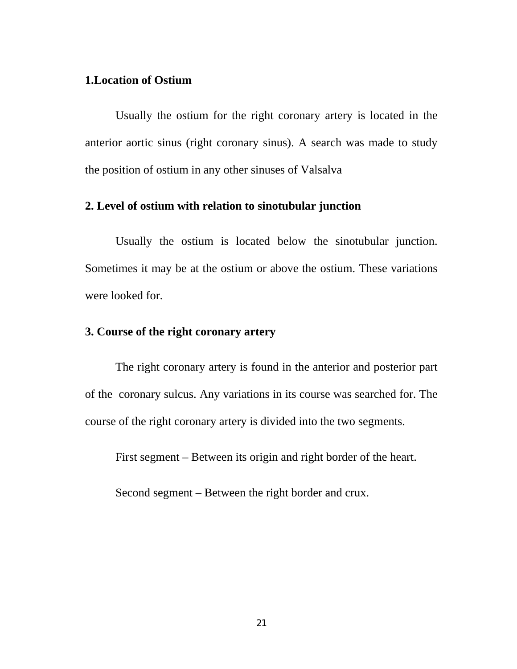#### **1.Location of Ostium**

 Usually the ostium for the right coronary artery is located in the anterior aortic sinus (right coronary sinus). A search was made to study the position of ostium in any other sinuses of Valsalva

#### **2. Level of ostium with relation to sinotubular junction**

 Usually the ostium is located below the sinotubular junction. Sometimes it may be at the ostium or above the ostium. These variations were looked for.

#### **3. Course of the right coronary artery**

 The right coronary artery is found in the anterior and posterior part of the coronary sulcus. Any variations in its course was searched for. The course of the right coronary artery is divided into the two segments.

First segment – Between its origin and right border of the heart.

Second segment – Between the right border and crux.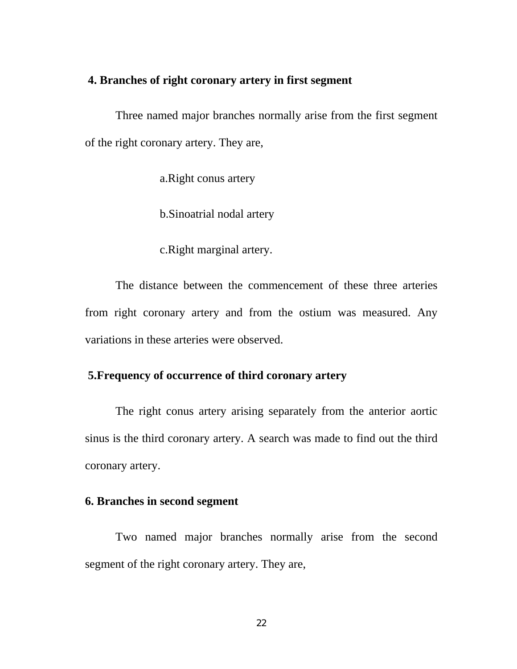#### **4. Branches of right coronary artery in first segment**

 Three named major branches normally arise from the first segment of the right coronary artery. They are,

a.Right conus artery

b.Sinoatrial nodal artery

c.Right marginal artery.

The distance between the commencement of these three arteries from right coronary artery and from the ostium was measured. Any variations in these arteries were observed.

#### **5.Frequency of occurrence of third coronary artery**

The right conus artery arising separately from the anterior aortic sinus is the third coronary artery. A search was made to find out the third coronary artery.

#### **6. Branches in second segment**

Two named major branches normally arise from the second segment of the right coronary artery. They are,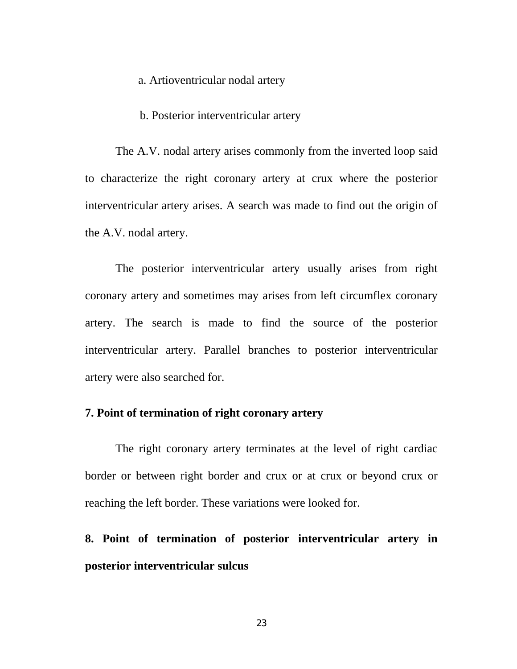#### a. Artioventricular nodal artery

#### b. Posterior interventricular artery

The A.V. nodal artery arises commonly from the inverted loop said to characterize the right coronary artery at crux where the posterior interventricular artery arises. A search was made to find out the origin of the A.V. nodal artery.

The posterior interventricular artery usually arises from right coronary artery and sometimes may arises from left circumflex coronary artery. The search is made to find the source of the posterior interventricular artery. Parallel branches to posterior interventricular artery were also searched for.

#### **7. Point of termination of right coronary artery**

The right coronary artery terminates at the level of right cardiac border or between right border and crux or at crux or beyond crux or reaching the left border. These variations were looked for.

**8. Point of termination of posterior interventricular artery in posterior interventricular sulcus**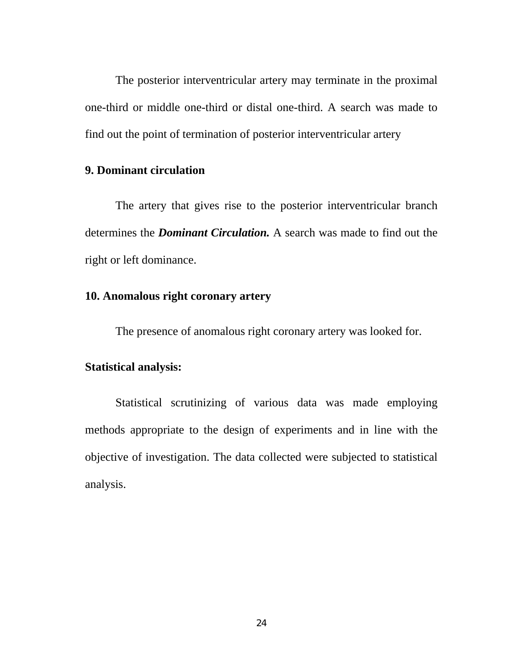The posterior interventricular artery may terminate in the proximal one-third or middle one-third or distal one-third. A search was made to find out the point of termination of posterior interventricular artery

### **9. Dominant circulation**

The artery that gives rise to the posterior interventricular branch determines the *Dominant Circulation.* A search was made to find out the right or left dominance.

#### **10. Anomalous right coronary artery**

The presence of anomalous right coronary artery was looked for.

#### **Statistical analysis:**

Statistical scrutinizing of various data was made employing methods appropriate to the design of experiments and in line with the objective of investigation. The data collected were subjected to statistical analysis.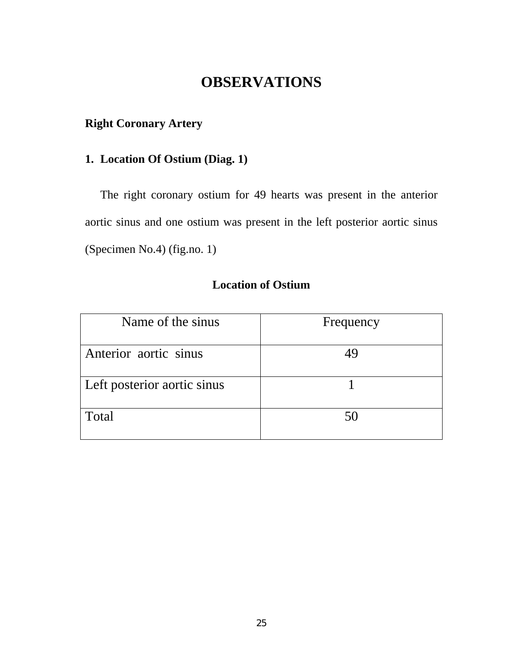# **OBSERVATIONS**

## **Right Coronary Artery**

### **1. Location Of Ostium (Diag. 1)**

The right coronary ostium for 49 hearts was present in the anterior aortic sinus and one ostium was present in the left posterior aortic sinus (Specimen No.4) (fig.no. 1)

### **Location of Ostium**

| Name of the sinus           | Frequency |
|-----------------------------|-----------|
| Anterior aortic sinus       |           |
| Left posterior aortic sinus |           |
| Total                       | 50        |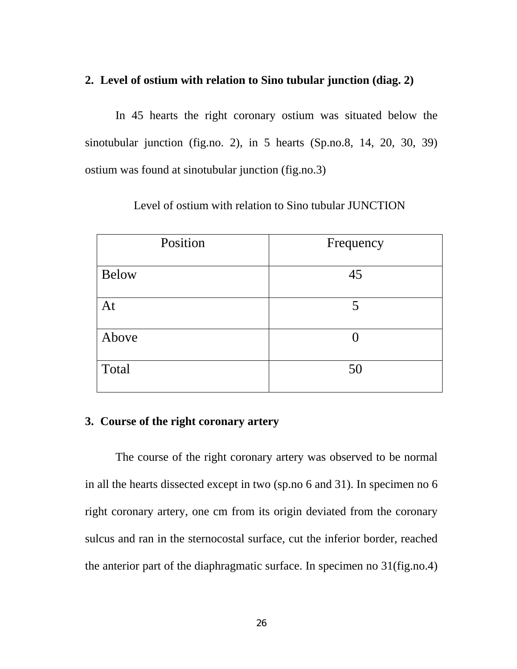### **2. Level of ostium with relation to Sino tubular junction (diag. 2)**

 In 45 hearts the right coronary ostium was situated below the sinotubular junction (fig.no. 2), in 5 hearts (Sp.no.8, 14, 20, 30, 39) ostium was found at sinotubular junction (fig.no.3)

| Position     | Frequency |
|--------------|-----------|
| <b>Below</b> | 45        |
| At           | 5         |
| Above        |           |
| Total        | 50        |

Level of ostium with relation to Sino tubular JUNCTION

### **3. Course of the right coronary artery**

 The course of the right coronary artery was observed to be normal in all the hearts dissected except in two (sp.no 6 and 31). In specimen no 6 right coronary artery, one cm from its origin deviated from the coronary sulcus and ran in the sternocostal surface, cut the inferior border, reached the anterior part of the diaphragmatic surface. In specimen no 31(fig.no.4)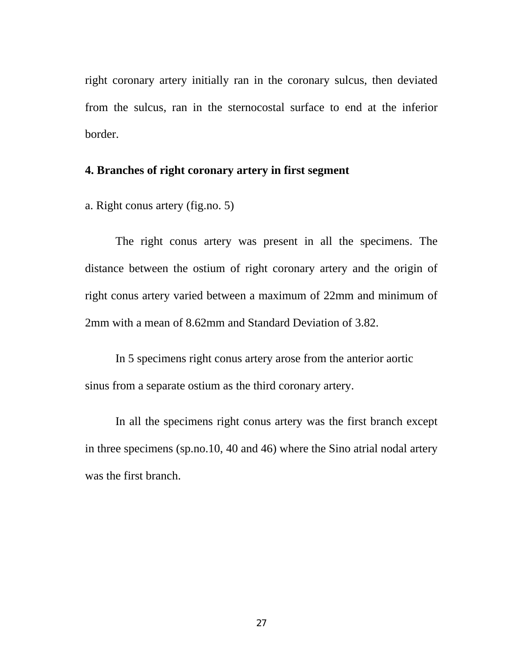right coronary artery initially ran in the coronary sulcus, then deviated from the sulcus, ran in the sternocostal surface to end at the inferior border.

#### **4. Branches of right coronary artery in first segment**

a. Right conus artery (fig.no. 5)

 The right conus artery was present in all the specimens. The distance between the ostium of right coronary artery and the origin of right conus artery varied between a maximum of 22mm and minimum of 2mm with a mean of 8.62mm and Standard Deviation of 3.82.

 In 5 specimens right conus artery arose from the anterior aortic sinus from a separate ostium as the third coronary artery.

 In all the specimens right conus artery was the first branch except in three specimens (sp.no.10, 40 and 46) where the Sino atrial nodal artery was the first branch.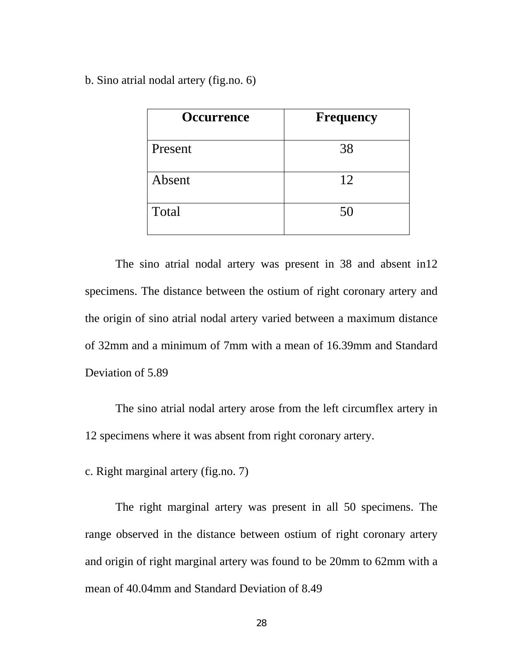b. Sino atrial nodal artery (fig.no. 6)

| <b>Occurrence</b> | <b>Frequency</b> |
|-------------------|------------------|
| Present           | 38               |
| Absent            | 12               |
| Total             | 50               |

 The sino atrial nodal artery was present in 38 and absent in12 specimens. The distance between the ostium of right coronary artery and the origin of sino atrial nodal artery varied between a maximum distance of 32mm and a minimum of 7mm with a mean of 16.39mm and Standard Deviation of 5.89

 The sino atrial nodal artery arose from the left circumflex artery in 12 specimens where it was absent from right coronary artery.

c. Right marginal artery (fig.no. 7)

 The right marginal artery was present in all 50 specimens. The range observed in the distance between ostium of right coronary artery and origin of right marginal artery was found to be 20mm to 62mm with a mean of 40.04mm and Standard Deviation of 8.49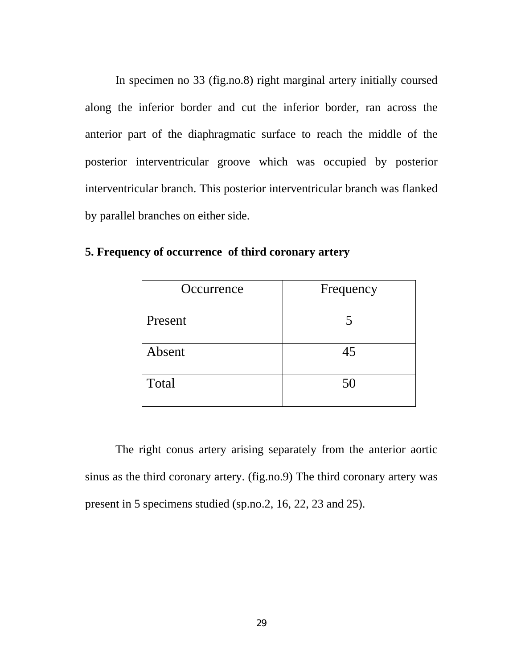In specimen no 33 (fig.no.8) right marginal artery initially coursed along the inferior border and cut the inferior border, ran across the anterior part of the diaphragmatic surface to reach the middle of the posterior interventricular groove which was occupied by posterior interventricular branch. This posterior interventricular branch was flanked by parallel branches on either side.

| Occurrence | Frequency |
|------------|-----------|
| Present    |           |
| Absent     | 45        |
| Total      | 50        |

**5. Frequency of occurrence of third coronary artery** 

 The right conus artery arising separately from the anterior aortic sinus as the third coronary artery. (fig.no.9) The third coronary artery was present in 5 specimens studied (sp.no.2, 16, 22, 23 and 25).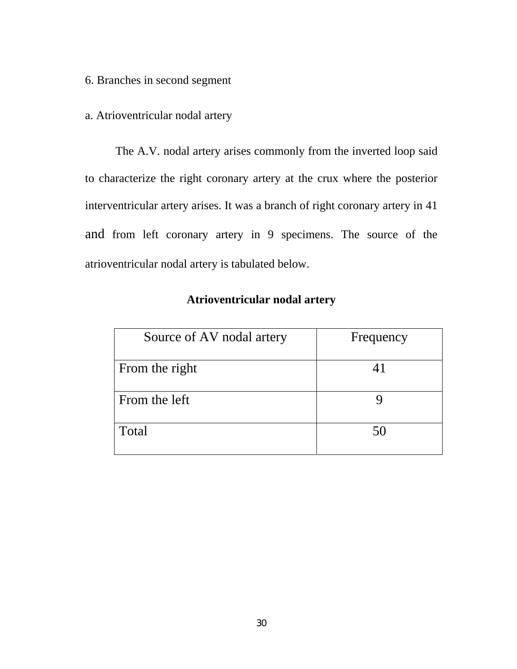6. Branches in second segment

#### a. Atrioventricular nodal artery

 The A.V. nodal artery arises commonly from the inverted loop said to characterize the right coronary artery at the crux where the posterior interventricular artery arises. It was a branch of right coronary artery in 41 and from left coronary artery in 9 specimens. The source of the atrioventricular nodal artery is tabulated below.

| Source of AV nodal artery | Frequency |
|---------------------------|-----------|
| From the right            | 41        |
| From the left             |           |
| Total                     | 50        |

### **Atrioventricular nodal artery**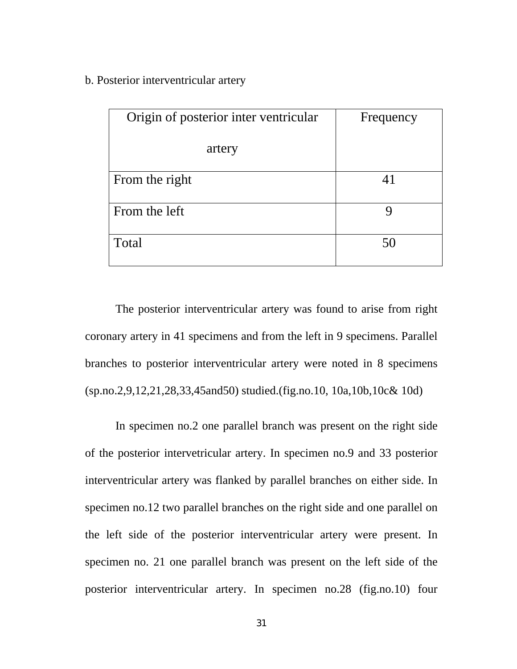b. Posterior interventricular artery

| Origin of posterior inter ventricular | Frequency |
|---------------------------------------|-----------|
| artery                                |           |
| From the right                        | 41        |
| From the left                         |           |
| Total                                 | 50        |

 The posterior interventricular artery was found to arise from right coronary artery in 41 specimens and from the left in 9 specimens. Parallel branches to posterior interventricular artery were noted in 8 specimens (sp.no.2,9,12,21,28,33,45and50) studied.(fig.no.10, 10a,10b,10c& 10d)

 In specimen no.2 one parallel branch was present on the right side of the posterior intervetricular artery. In specimen no.9 and 33 posterior interventricular artery was flanked by parallel branches on either side. In specimen no.12 two parallel branches on the right side and one parallel on the left side of the posterior interventricular artery were present. In specimen no. 21 one parallel branch was present on the left side of the posterior interventricular artery. In specimen no.28 (fig.no.10) four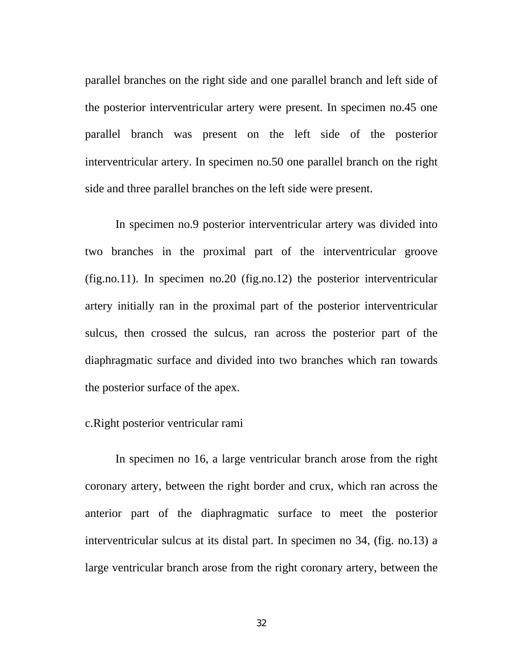parallel branches on the right side and one parallel branch and left side of the posterior interventricular artery were present. In specimen no.45 one parallel branch was present on the left side of the posterior interventricular artery. In specimen no.50 one parallel branch on the right side and three parallel branches on the left side were present.

 In specimen no.9 posterior interventricular artery was divided into two branches in the proximal part of the interventricular groove (fig.no.11). In specimen no.20 (fig.no.12) the posterior interventricular artery initially ran in the proximal part of the posterior interventricular sulcus, then crossed the sulcus, ran across the posterior part of the diaphragmatic surface and divided into two branches which ran towards the posterior surface of the apex.

## c.Right posterior ventricular rami

 In specimen no 16, a large ventricular branch arose from the right coronary artery, between the right border and crux, which ran across the anterior part of the diaphragmatic surface to meet the posterior interventricular sulcus at its distal part. In specimen no 34, (fig. no.13) a large ventricular branch arose from the right coronary artery, between the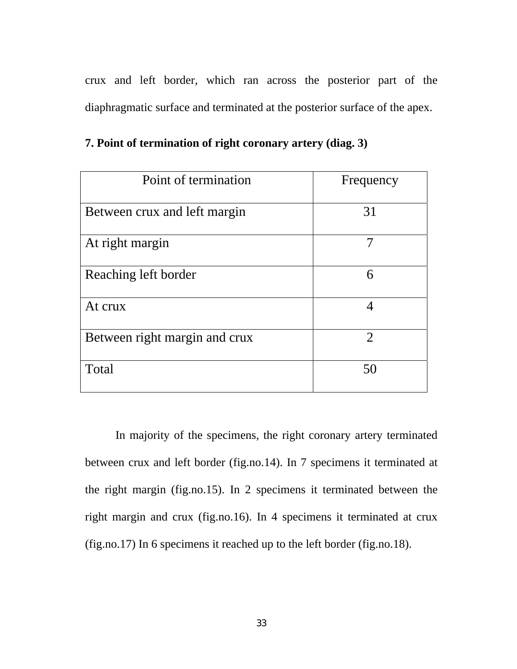crux and left border, which ran across the posterior part of the diaphragmatic surface and terminated at the posterior surface of the apex.

| Point of termination          | Frequency      |
|-------------------------------|----------------|
| Between crux and left margin  | 31             |
| At right margin               |                |
| Reaching left border          | 6              |
| At crux                       | 4              |
| Between right margin and crux | $\overline{2}$ |
| Total                         | 50             |

**7. Point of termination of right coronary artery (diag. 3)** 

 In majority of the specimens, the right coronary artery terminated between crux and left border (fig.no.14). In 7 specimens it terminated at the right margin (fig.no.15). In 2 specimens it terminated between the right margin and crux (fig.no.16). In 4 specimens it terminated at crux (fig.no.17) In 6 specimens it reached up to the left border (fig.no.18).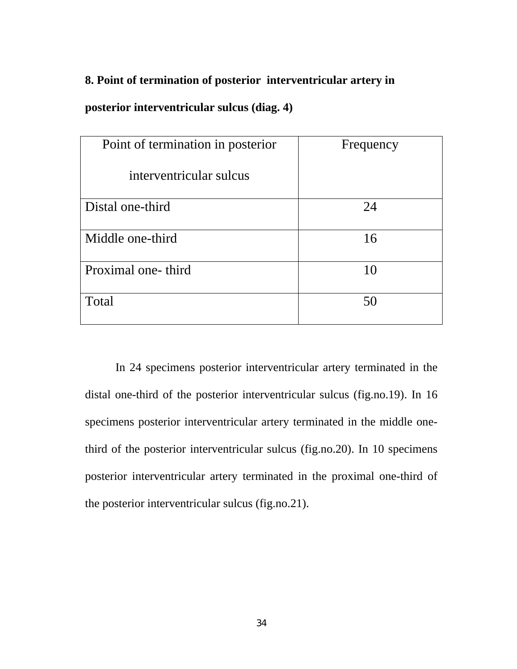# **8. Point of termination of posterior interventricular artery in**

# **posterior interventricular sulcus (diag. 4)**

| Point of termination in posterior | Frequency |
|-----------------------------------|-----------|
| interventricular sulcus           |           |
| Distal one-third                  | 24        |
|                                   |           |
| Middle one-third                  | 16        |
|                                   |           |
| Proximal one-third                | 10        |
|                                   |           |
| Total                             | 50        |
|                                   |           |

 In 24 specimens posterior interventricular artery terminated in the distal one-third of the posterior interventricular sulcus (fig.no.19). In 16 specimens posterior interventricular artery terminated in the middle onethird of the posterior interventricular sulcus (fig.no.20). In 10 specimens posterior interventricular artery terminated in the proximal one-third of the posterior interventricular sulcus (fig.no.21).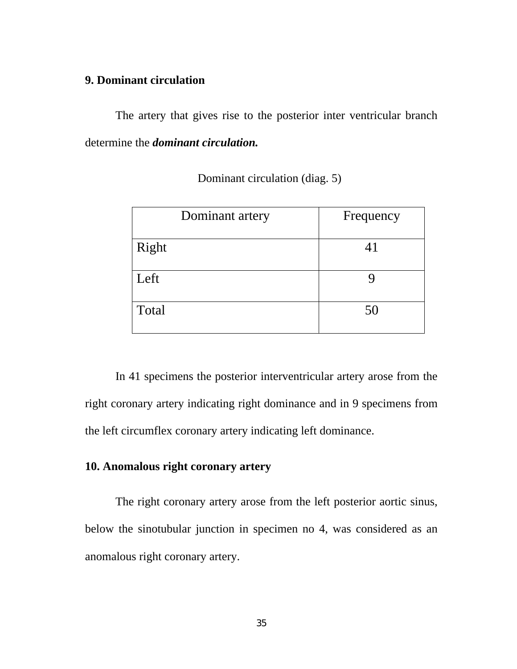# **9. Dominant circulation**

 The artery that gives rise to the posterior inter ventricular branch determine the *dominant circulation.* 

| Dominant artery | Frequency |
|-----------------|-----------|
| Right           | 41        |
| Left            |           |
| Total           | 50        |

Dominant circulation (diag. 5)

 In 41 specimens the posterior interventricular artery arose from the right coronary artery indicating right dominance and in 9 specimens from the left circumflex coronary artery indicating left dominance.

# **10. Anomalous right coronary artery**

 The right coronary artery arose from the left posterior aortic sinus, below the sinotubular junction in specimen no 4, was considered as an anomalous right coronary artery.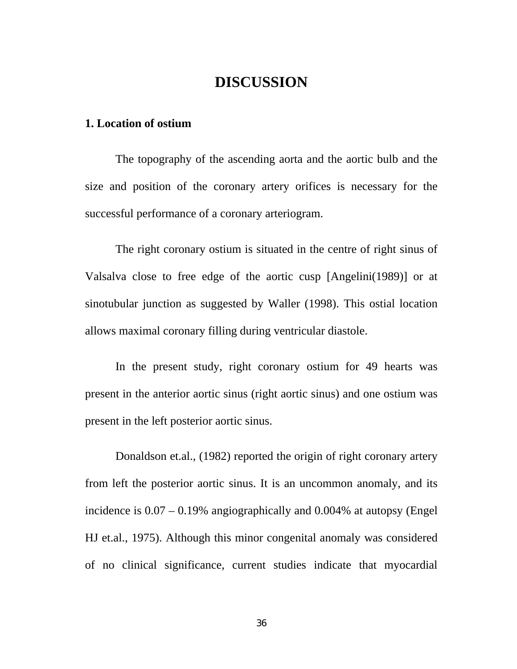# **DISCUSSION**

#### **1. Location of ostium**

 The topography of the ascending aorta and the aortic bulb and the size and position of the coronary artery orifices is necessary for the successful performance of a coronary arteriogram.

 The right coronary ostium is situated in the centre of right sinus of Valsalva close to free edge of the aortic cusp [Angelini(1989)] or at sinotubular junction as suggested by Waller (1998). This ostial location allows maximal coronary filling during ventricular diastole.

 In the present study, right coronary ostium for 49 hearts was present in the anterior aortic sinus (right aortic sinus) and one ostium was present in the left posterior aortic sinus.

 Donaldson et.al., (1982) reported the origin of right coronary artery from left the posterior aortic sinus. It is an uncommon anomaly, and its incidence is 0.07 – 0.19% angiographically and 0.004% at autopsy (Engel HJ et.al., 1975). Although this minor congenital anomaly was considered of no clinical significance, current studies indicate that myocardial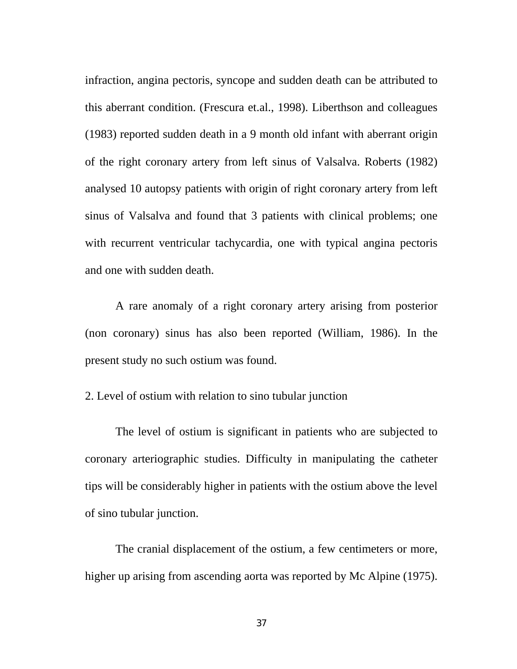infraction, angina pectoris, syncope and sudden death can be attributed to this aberrant condition. (Frescura et.al., 1998). Liberthson and colleagues (1983) reported sudden death in a 9 month old infant with aberrant origin of the right coronary artery from left sinus of Valsalva. Roberts (1982) analysed 10 autopsy patients with origin of right coronary artery from left sinus of Valsalva and found that 3 patients with clinical problems; one with recurrent ventricular tachycardia, one with typical angina pectoris and one with sudden death.

 A rare anomaly of a right coronary artery arising from posterior (non coronary) sinus has also been reported (William, 1986). In the present study no such ostium was found.

## 2. Level of ostium with relation to sino tubular junction

 The level of ostium is significant in patients who are subjected to coronary arteriographic studies. Difficulty in manipulating the catheter tips will be considerably higher in patients with the ostium above the level of sino tubular junction.

 The cranial displacement of the ostium, a few centimeters or more, higher up arising from ascending aorta was reported by Mc Alpine (1975).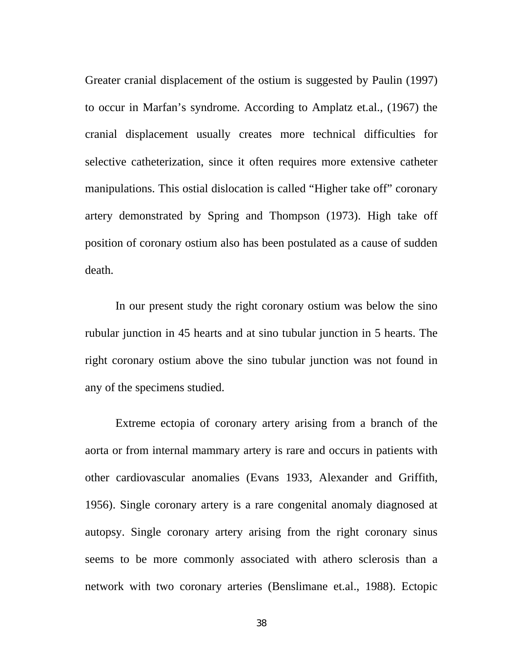Greater cranial displacement of the ostium is suggested by Paulin (1997) to occur in Marfan's syndrome. According to Amplatz et.al., (1967) the cranial displacement usually creates more technical difficulties for selective catheterization, since it often requires more extensive catheter manipulations. This ostial dislocation is called "Higher take off" coronary artery demonstrated by Spring and Thompson (1973). High take off position of coronary ostium also has been postulated as a cause of sudden death.

 In our present study the right coronary ostium was below the sino rubular junction in 45 hearts and at sino tubular junction in 5 hearts. The right coronary ostium above the sino tubular junction was not found in any of the specimens studied.

 Extreme ectopia of coronary artery arising from a branch of the aorta or from internal mammary artery is rare and occurs in patients with other cardiovascular anomalies (Evans 1933, Alexander and Griffith, 1956). Single coronary artery is a rare congenital anomaly diagnosed at autopsy. Single coronary artery arising from the right coronary sinus seems to be more commonly associated with athero sclerosis than a network with two coronary arteries (Benslimane et.al., 1988). Ectopic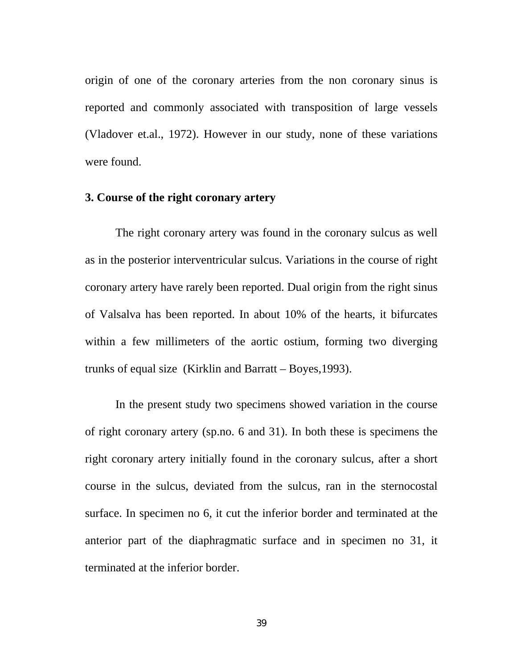origin of one of the coronary arteries from the non coronary sinus is reported and commonly associated with transposition of large vessels (Vladover et.al., 1972). However in our study, none of these variations were found.

## **3. Course of the right coronary artery**

The right coronary artery was found in the coronary sulcus as well as in the posterior interventricular sulcus. Variations in the course of right coronary artery have rarely been reported. Dual origin from the right sinus of Valsalva has been reported. In about 10% of the hearts, it bifurcates within a few millimeters of the aortic ostium, forming two diverging trunks of equal size (Kirklin and Barratt – Boyes,1993).

In the present study two specimens showed variation in the course of right coronary artery (sp.no. 6 and 31). In both these is specimens the right coronary artery initially found in the coronary sulcus, after a short course in the sulcus, deviated from the sulcus, ran in the sternocostal surface. In specimen no 6, it cut the inferior border and terminated at the anterior part of the diaphragmatic surface and in specimen no 31, it terminated at the inferior border.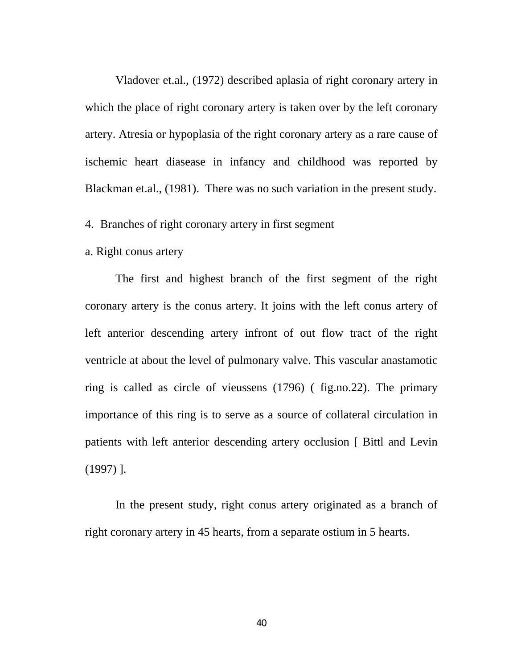Vladover et.al., (1972) described aplasia of right coronary artery in which the place of right coronary artery is taken over by the left coronary artery. Atresia or hypoplasia of the right coronary artery as a rare cause of ischemic heart diasease in infancy and childhood was reported by Blackman et.al., (1981). There was no such variation in the present study.

### 4. Branches of right coronary artery in first segment

a. Right conus artery

The first and highest branch of the first segment of the right coronary artery is the conus artery. It joins with the left conus artery of left anterior descending artery infront of out flow tract of the right ventricle at about the level of pulmonary valve. This vascular anastamotic ring is called as circle of vieussens (1796) ( fig.no.22). The primary importance of this ring is to serve as a source of collateral circulation in patients with left anterior descending artery occlusion [ Bittl and Levin (1997) ].

In the present study, right conus artery originated as a branch of right coronary artery in 45 hearts, from a separate ostium in 5 hearts.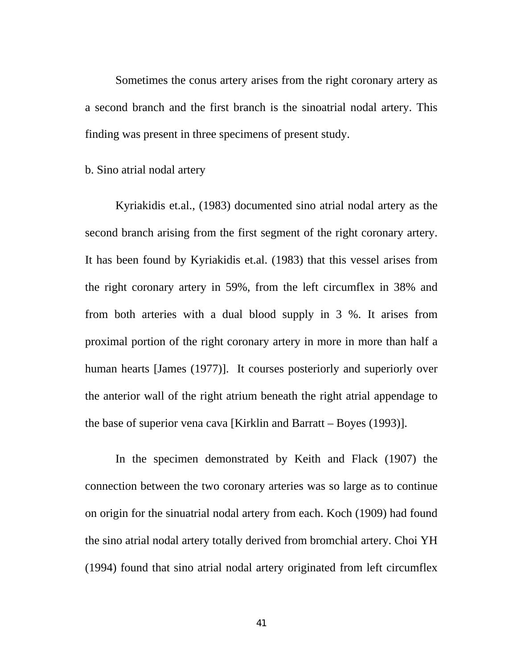Sometimes the conus artery arises from the right coronary artery as a second branch and the first branch is the sinoatrial nodal artery. This finding was present in three specimens of present study.

b. Sino atrial nodal artery

 Kyriakidis et.al., (1983) documented sino atrial nodal artery as the second branch arising from the first segment of the right coronary artery. It has been found by Kyriakidis et.al. (1983) that this vessel arises from the right coronary artery in 59%, from the left circumflex in 38% and from both arteries with a dual blood supply in 3 %. It arises from proximal portion of the right coronary artery in more in more than half a human hearts [James (1977)]. It courses posteriorly and superiorly over the anterior wall of the right atrium beneath the right atrial appendage to the base of superior vena cava [Kirklin and Barratt – Boyes (1993)].

 In the specimen demonstrated by Keith and Flack (1907) the connection between the two coronary arteries was so large as to continue on origin for the sinuatrial nodal artery from each. Koch (1909) had found the sino atrial nodal artery totally derived from bromchial artery. Choi YH (1994) found that sino atrial nodal artery originated from left circumflex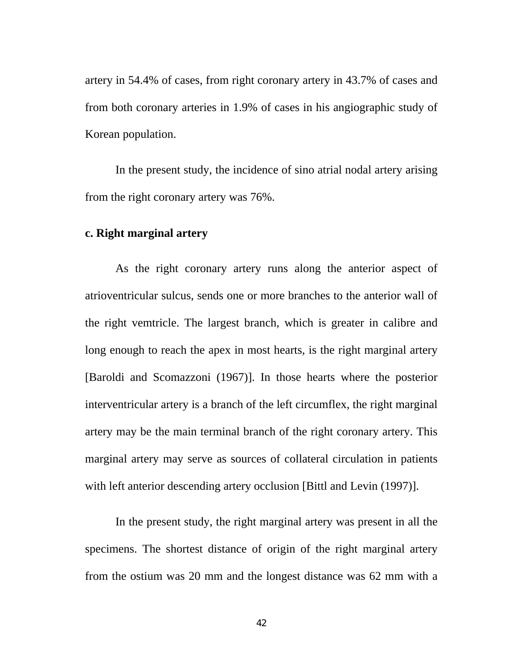artery in 54.4% of cases, from right coronary artery in 43.7% of cases and from both coronary arteries in 1.9% of cases in his angiographic study of Korean population.

 In the present study, the incidence of sino atrial nodal artery arising from the right coronary artery was 76%.

#### **c. Right marginal artery**

 As the right coronary artery runs along the anterior aspect of atrioventricular sulcus, sends one or more branches to the anterior wall of the right vemtricle. The largest branch, which is greater in calibre and long enough to reach the apex in most hearts, is the right marginal artery [Baroldi and Scomazzoni (1967)]. In those hearts where the posterior interventricular artery is a branch of the left circumflex, the right marginal artery may be the main terminal branch of the right coronary artery. This marginal artery may serve as sources of collateral circulation in patients with left anterior descending artery occlusion [Bittl and Levin (1997)].

 In the present study, the right marginal artery was present in all the specimens. The shortest distance of origin of the right marginal artery from the ostium was 20 mm and the longest distance was 62 mm with a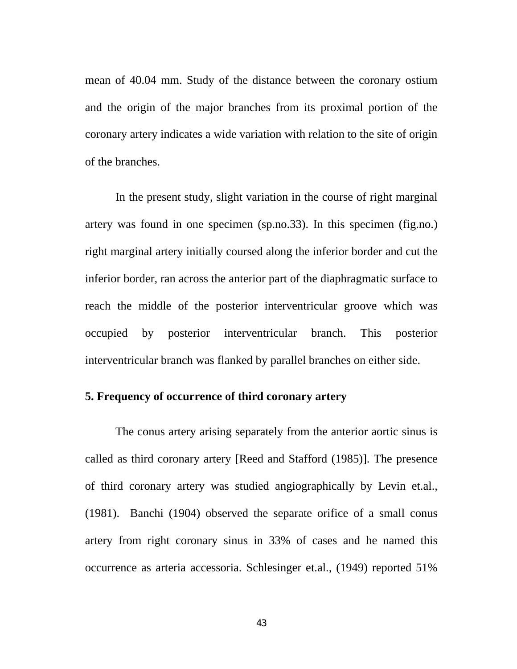mean of 40.04 mm. Study of the distance between the coronary ostium and the origin of the major branches from its proximal portion of the coronary artery indicates a wide variation with relation to the site of origin of the branches.

 In the present study, slight variation in the course of right marginal artery was found in one specimen (sp.no.33). In this specimen (fig.no.) right marginal artery initially coursed along the inferior border and cut the inferior border, ran across the anterior part of the diaphragmatic surface to reach the middle of the posterior interventricular groove which was occupied by posterior interventricular branch. This posterior interventricular branch was flanked by parallel branches on either side.

## **5. Frequency of occurrence of third coronary artery**

 The conus artery arising separately from the anterior aortic sinus is called as third coronary artery [Reed and Stafford (1985)]. The presence of third coronary artery was studied angiographically by Levin et.al., (1981). Banchi (1904) observed the separate orifice of a small conus artery from right coronary sinus in 33% of cases and he named this occurrence as arteria accessoria. Schlesinger et.al., (1949) reported 51%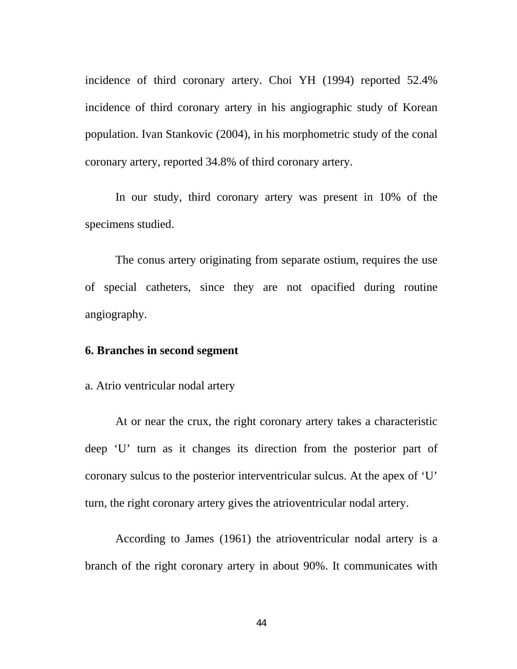incidence of third coronary artery. Choi YH (1994) reported 52.4% incidence of third coronary artery in his angiographic study of Korean population. Ivan Stankovic (2004), in his morphometric study of the conal coronary artery, reported 34.8% of third coronary artery.

 In our study, third coronary artery was present in 10% of the specimens studied.

 The conus artery originating from separate ostium, requires the use of special catheters, since they are not opacified during routine angiography.

## **6. Branches in second segment**

a. Atrio ventricular nodal artery

 At or near the crux, the right coronary artery takes a characteristic deep 'U' turn as it changes its direction from the posterior part of coronary sulcus to the posterior interventricular sulcus. At the apex of 'U' turn, the right coronary artery gives the atrioventricular nodal artery.

 According to James (1961) the atrioventricular nodal artery is a branch of the right coronary artery in about 90%. It communicates with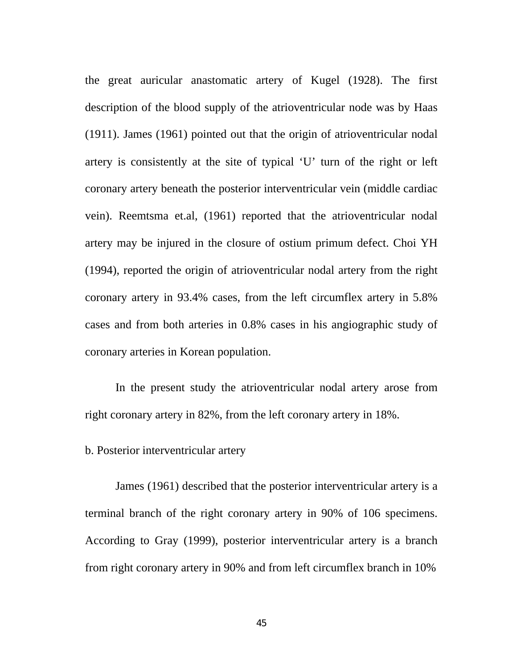the great auricular anastomatic artery of Kugel (1928). The first description of the blood supply of the atrioventricular node was by Haas (1911). James (1961) pointed out that the origin of atrioventricular nodal artery is consistently at the site of typical 'U' turn of the right or left coronary artery beneath the posterior interventricular vein (middle cardiac vein). Reemtsma et.al, (1961) reported that the atrioventricular nodal artery may be injured in the closure of ostium primum defect. Choi YH (1994), reported the origin of atrioventricular nodal artery from the right coronary artery in 93.4% cases, from the left circumflex artery in 5.8% cases and from both arteries in 0.8% cases in his angiographic study of coronary arteries in Korean population.

 In the present study the atrioventricular nodal artery arose from right coronary artery in 82%, from the left coronary artery in 18%.

b. Posterior interventricular artery

 James (1961) described that the posterior interventricular artery is a terminal branch of the right coronary artery in 90% of 106 specimens. According to Gray (1999), posterior interventricular artery is a branch from right coronary artery in 90% and from left circumflex branch in 10%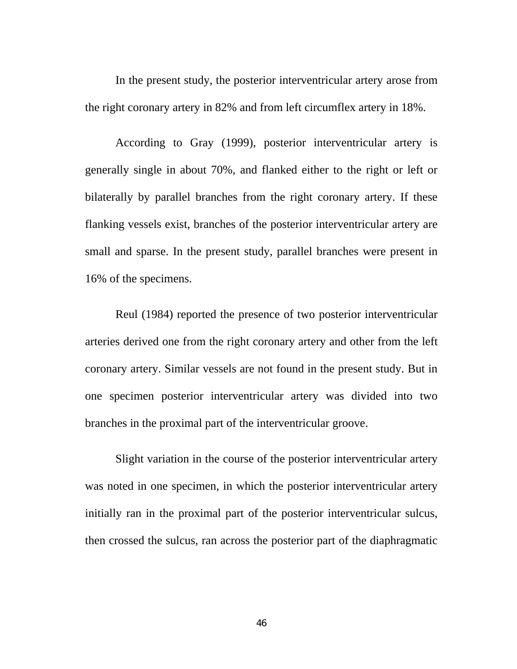In the present study, the posterior interventricular artery arose from the right coronary artery in 82% and from left circumflex artery in 18%.

 According to Gray (1999), posterior interventricular artery is generally single in about 70%, and flanked either to the right or left or bilaterally by parallel branches from the right coronary artery. If these flanking vessels exist, branches of the posterior interventricular artery are small and sparse. In the present study, parallel branches were present in 16% of the specimens.

 Reul (1984) reported the presence of two posterior interventricular arteries derived one from the right coronary artery and other from the left coronary artery. Similar vessels are not found in the present study. But in one specimen posterior interventricular artery was divided into two branches in the proximal part of the interventricular groove.

 Slight variation in the course of the posterior interventricular artery was noted in one specimen, in which the posterior interventricular artery initially ran in the proximal part of the posterior interventricular sulcus, then crossed the sulcus, ran across the posterior part of the diaphragmatic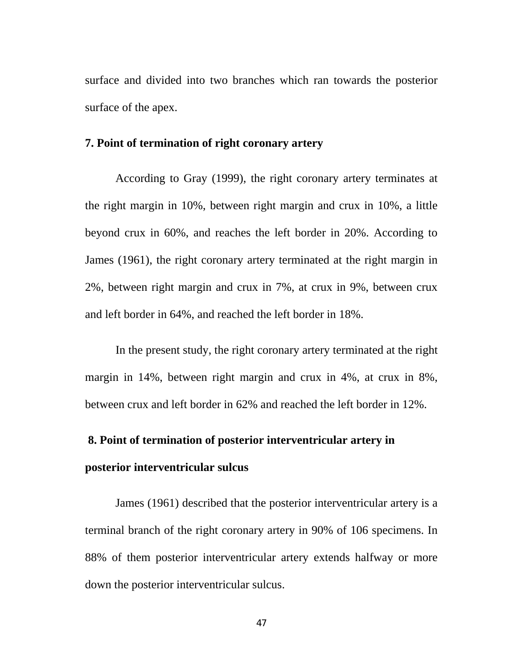surface and divided into two branches which ran towards the posterior surface of the apex.

#### **7. Point of termination of right coronary artery**

 According to Gray (1999), the right coronary artery terminates at the right margin in 10%, between right margin and crux in 10%, a little beyond crux in 60%, and reaches the left border in 20%. According to James (1961), the right coronary artery terminated at the right margin in 2%, between right margin and crux in 7%, at crux in 9%, between crux and left border in 64%, and reached the left border in 18%.

 In the present study, the right coronary artery terminated at the right margin in 14%, between right margin and crux in 4%, at crux in 8%, between crux and left border in 62% and reached the left border in 12%.

# **8. Point of termination of posterior interventricular artery in**

#### **posterior interventricular sulcus**

 James (1961) described that the posterior interventricular artery is a terminal branch of the right coronary artery in 90% of 106 specimens. In 88% of them posterior interventricular artery extends halfway or more down the posterior interventricular sulcus.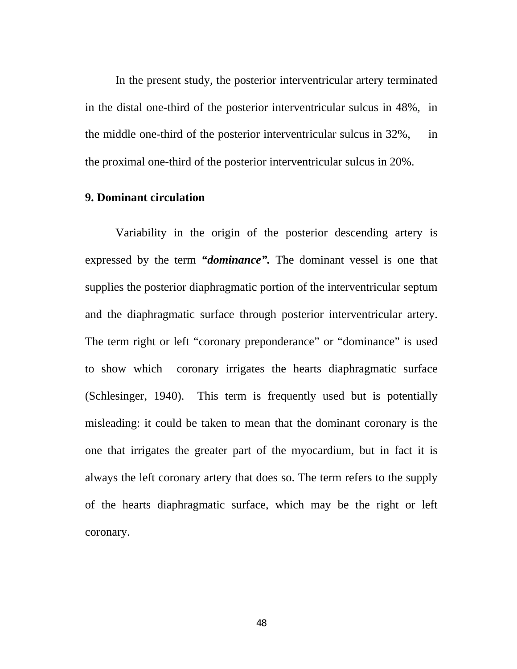In the present study, the posterior interventricular artery terminated in the distal one-third of the posterior interventricular sulcus in 48%, in the middle one-third of the posterior interventricular sulcus in 32%, in the proximal one-third of the posterior interventricular sulcus in 20%.

## **9. Dominant circulation**

 Variability in the origin of the posterior descending artery is expressed by the term *"dominance".* The dominant vessel is one that supplies the posterior diaphragmatic portion of the interventricular septum and the diaphragmatic surface through posterior interventricular artery. The term right or left "coronary preponderance" or "dominance" is used to show which coronary irrigates the hearts diaphragmatic surface (Schlesinger, 1940). This term is frequently used but is potentially misleading: it could be taken to mean that the dominant coronary is the one that irrigates the greater part of the myocardium, but in fact it is always the left coronary artery that does so. The term refers to the supply of the hearts diaphragmatic surface, which may be the right or left coronary.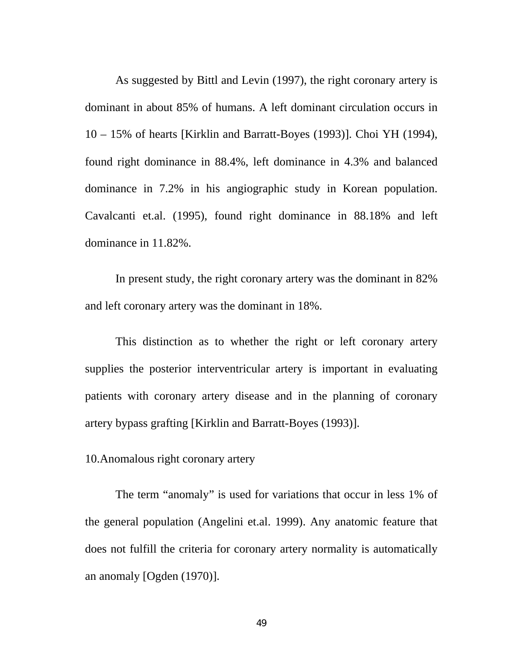As suggested by Bittl and Levin (1997), the right coronary artery is dominant in about 85% of humans. A left dominant circulation occurs in 10 – 15% of hearts [Kirklin and Barratt-Boyes (1993)]. Choi YH (1994), found right dominance in 88.4%, left dominance in 4.3% and balanced dominance in 7.2% in his angiographic study in Korean population. Cavalcanti et.al. (1995), found right dominance in 88.18% and left dominance in 11.82%.

 In present study, the right coronary artery was the dominant in 82% and left coronary artery was the dominant in 18%.

 This distinction as to whether the right or left coronary artery supplies the posterior interventricular artery is important in evaluating patients with coronary artery disease and in the planning of coronary artery bypass grafting [Kirklin and Barratt-Boyes (1993)].

10.Anomalous right coronary artery

 The term "anomaly" is used for variations that occur in less 1% of the general population (Angelini et.al. 1999). Any anatomic feature that does not fulfill the criteria for coronary artery normality is automatically an anomaly [Ogden (1970)].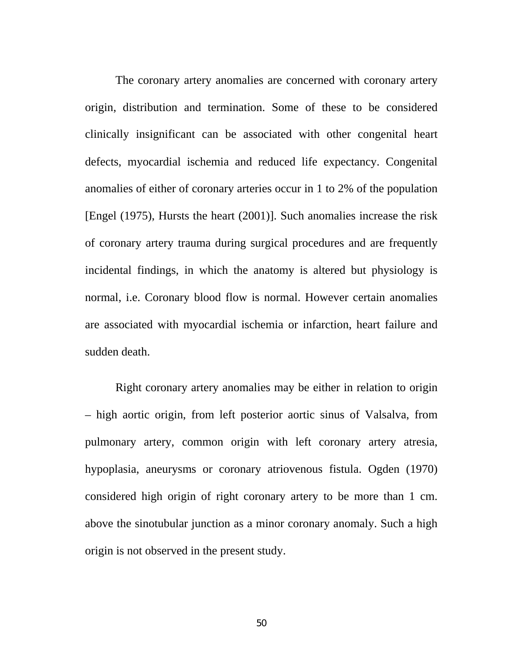The coronary artery anomalies are concerned with coronary artery origin, distribution and termination. Some of these to be considered clinically insignificant can be associated with other congenital heart defects, myocardial ischemia and reduced life expectancy. Congenital anomalies of either of coronary arteries occur in 1 to 2% of the population [Engel (1975), Hursts the heart (2001)]. Such anomalies increase the risk of coronary artery trauma during surgical procedures and are frequently incidental findings, in which the anatomy is altered but physiology is normal, i.e. Coronary blood flow is normal. However certain anomalies are associated with myocardial ischemia or infarction, heart failure and sudden death.

 Right coronary artery anomalies may be either in relation to origin – high aortic origin, from left posterior aortic sinus of Valsalva, from pulmonary artery, common origin with left coronary artery atresia, hypoplasia, aneurysms or coronary atriovenous fistula. Ogden (1970) considered high origin of right coronary artery to be more than 1 cm. above the sinotubular junction as a minor coronary anomaly. Such a high origin is not observed in the present study.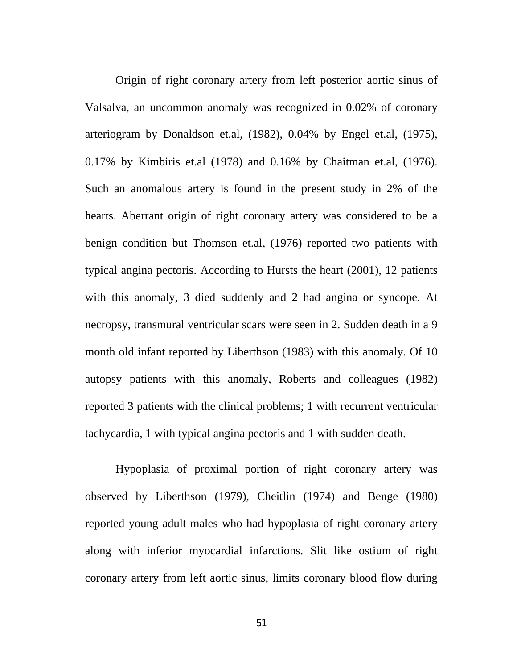Origin of right coronary artery from left posterior aortic sinus of Valsalva, an uncommon anomaly was recognized in 0.02% of coronary arteriogram by Donaldson et.al, (1982), 0.04% by Engel et.al, (1975), 0.17% by Kimbiris et.al (1978) and 0.16% by Chaitman et.al, (1976). Such an anomalous artery is found in the present study in 2% of the hearts. Aberrant origin of right coronary artery was considered to be a benign condition but Thomson et.al, (1976) reported two patients with typical angina pectoris. According to Hursts the heart (2001), 12 patients with this anomaly, 3 died suddenly and 2 had angina or syncope. At necropsy, transmural ventricular scars were seen in 2. Sudden death in a 9 month old infant reported by Liberthson (1983) with this anomaly. Of 10 autopsy patients with this anomaly, Roberts and colleagues (1982) reported 3 patients with the clinical problems; 1 with recurrent ventricular tachycardia, 1 with typical angina pectoris and 1 with sudden death.

 Hypoplasia of proximal portion of right coronary artery was observed by Liberthson (1979), Cheitlin (1974) and Benge (1980) reported young adult males who had hypoplasia of right coronary artery along with inferior myocardial infarctions. Slit like ostium of right coronary artery from left aortic sinus, limits coronary blood flow during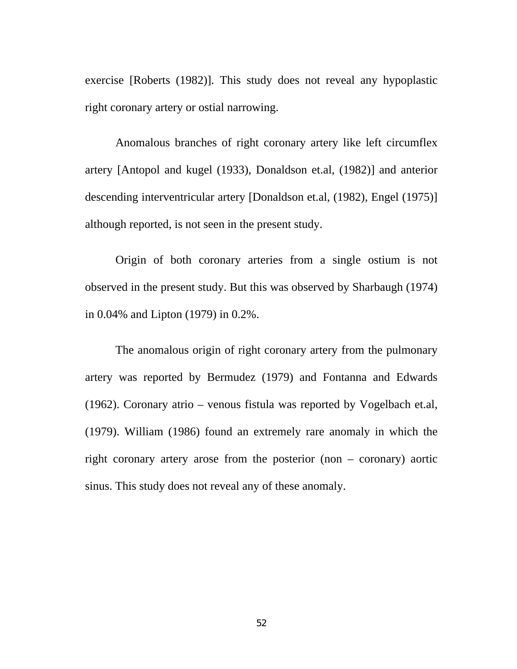exercise [Roberts (1982)]. This study does not reveal any hypoplastic right coronary artery or ostial narrowing.

 Anomalous branches of right coronary artery like left circumflex artery [Antopol and kugel (1933), Donaldson et.al, (1982)] and anterior descending interventricular artery [Donaldson et.al, (1982), Engel (1975)] although reported, is not seen in the present study.

 Origin of both coronary arteries from a single ostium is not observed in the present study. But this was observed by Sharbaugh (1974) in 0.04% and Lipton (1979) in 0.2%.

 The anomalous origin of right coronary artery from the pulmonary artery was reported by Bermudez (1979) and Fontanna and Edwards (1962). Coronary atrio – venous fistula was reported by Vogelbach et.al, (1979). William (1986) found an extremely rare anomaly in which the right coronary artery arose from the posterior (non – coronary) aortic sinus. This study does not reveal any of these anomaly.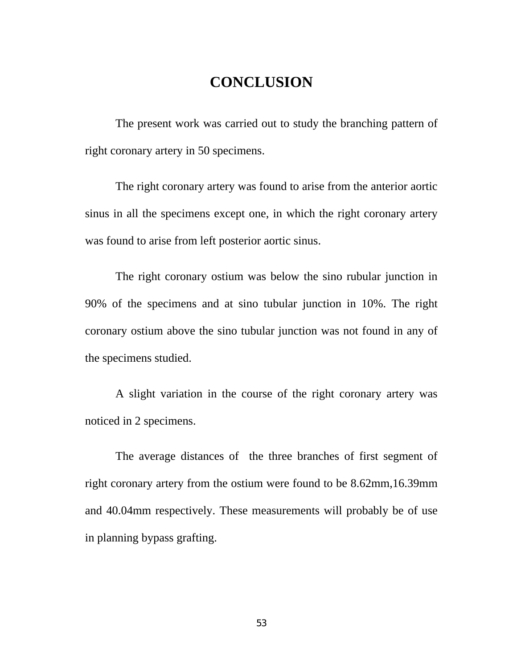# **CONCLUSION**

 The present work was carried out to study the branching pattern of right coronary artery in 50 specimens.

 The right coronary artery was found to arise from the anterior aortic sinus in all the specimens except one, in which the right coronary artery was found to arise from left posterior aortic sinus.

 The right coronary ostium was below the sino rubular junction in 90% of the specimens and at sino tubular junction in 10%. The right coronary ostium above the sino tubular junction was not found in any of the specimens studied.

 A slight variation in the course of the right coronary artery was noticed in 2 specimens.

 The average distances of the three branches of first segment of right coronary artery from the ostium were found to be 8.62mm,16.39mm and 40.04mm respectively. These measurements will probably be of use in planning bypass grafting.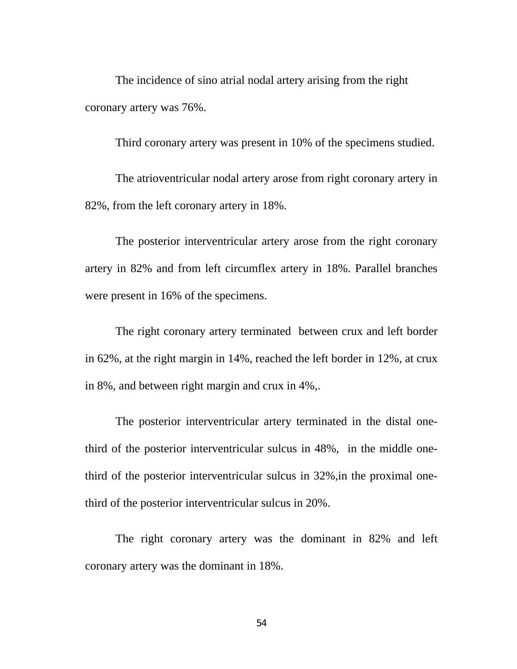The incidence of sino atrial nodal artery arising from the right coronary artery was 76%.

Third coronary artery was present in 10% of the specimens studied.

The atrioventricular nodal artery arose from right coronary artery in 82%, from the left coronary artery in 18%.

 The posterior interventricular artery arose from the right coronary artery in 82% and from left circumflex artery in 18%. Parallel branches were present in 16% of the specimens.

 The right coronary artery terminated between crux and left border in 62%, at the right margin in 14%, reached the left border in 12%, at crux in 8%, and between right margin and crux in 4%,.

 The posterior interventricular artery terminated in the distal onethird of the posterior interventricular sulcus in 48%, in the middle onethird of the posterior interventricular sulcus in 32%,in the proximal onethird of the posterior interventricular sulcus in 20%.

 The right coronary artery was the dominant in 82% and left coronary artery was the dominant in 18%.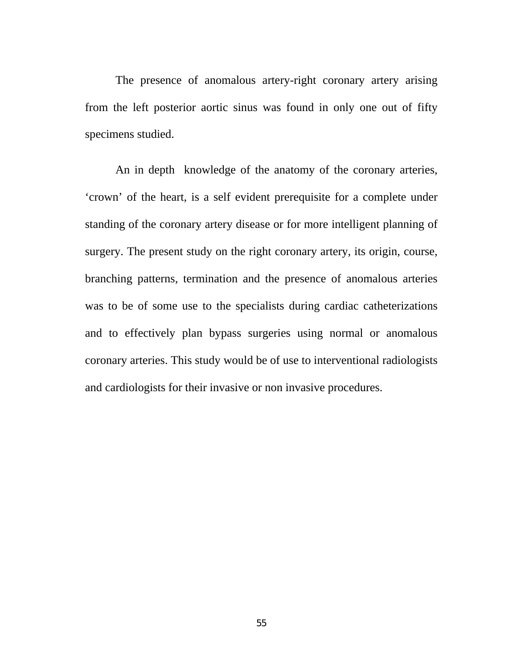The presence of anomalous artery-right coronary artery arising from the left posterior aortic sinus was found in only one out of fifty specimens studied.

 An in depth knowledge of the anatomy of the coronary arteries, 'crown' of the heart, is a self evident prerequisite for a complete under standing of the coronary artery disease or for more intelligent planning of surgery. The present study on the right coronary artery, its origin, course, branching patterns, termination and the presence of anomalous arteries was to be of some use to the specialists during cardiac catheterizations and to effectively plan bypass surgeries using normal or anomalous coronary arteries. This study would be of use to interventional radiologists and cardiologists for their invasive or non invasive procedures.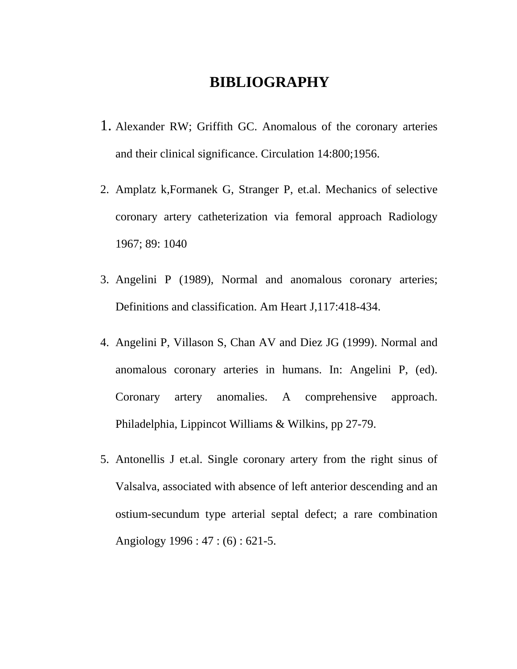# **BIBLIOGRAPHY**

- 1. Alexander RW; Griffith GC. Anomalous of the coronary arteries and their clinical significance. Circulation 14:800;1956.
- 2. Amplatz k,Formanek G, Stranger P, et.al. Mechanics of selective coronary artery catheterization via femoral approach Radiology 1967; 89: 1040
- 3. Angelini P (1989), Normal and anomalous coronary arteries; Definitions and classification. Am Heart J,117:418-434.
- 4. Angelini P, Villason S, Chan AV and Diez JG (1999). Normal and anomalous coronary arteries in humans. In: Angelini P, (ed). Coronary artery anomalies. A comprehensive approach. Philadelphia, Lippincot Williams & Wilkins, pp 27-79.
- 5. Antonellis J et.al. Single coronary artery from the right sinus of Valsalva, associated with absence of left anterior descending and an ostium-secundum type arterial septal defect; a rare combination Angiology 1996 : 47 : (6) : 621-5.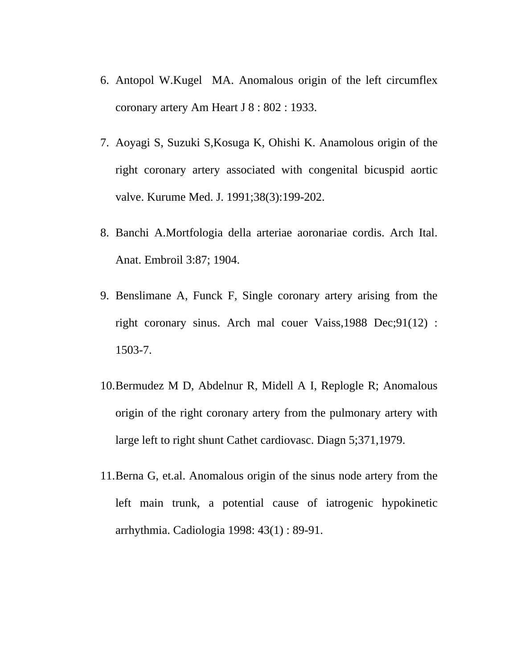- 6. Antopol W.Kugel MA. Anomalous origin of the left circumflex coronary artery Am Heart J 8 : 802 : 1933.
- 7. Aoyagi S, Suzuki S,Kosuga K, Ohishi K. Anamolous origin of the right coronary artery associated with congenital bicuspid aortic valve. Kurume Med. J. 1991;38(3):199-202.
- 8. Banchi A.Mortfologia della arteriae aoronariae cordis. Arch Ital. Anat. Embroil 3:87; 1904.
- 9. Benslimane A, Funck F, Single coronary artery arising from the right coronary sinus. Arch mal couer Vaiss,1988 Dec;91(12) : 1503-7.
- 10.Bermudez M D, Abdelnur R, Midell A I, Replogle R; Anomalous origin of the right coronary artery from the pulmonary artery with large left to right shunt Cathet cardiovasc. Diagn 5;371,1979.
- 11.Berna G, et.al. Anomalous origin of the sinus node artery from the left main trunk, a potential cause of iatrogenic hypokinetic arrhythmia. Cadiologia 1998: 43(1) : 89-91.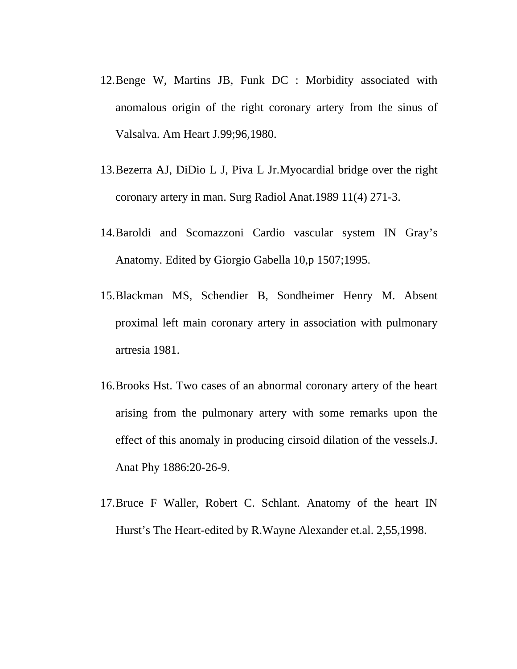- 12.Benge W, Martins JB, Funk DC : Morbidity associated with anomalous origin of the right coronary artery from the sinus of Valsalva. Am Heart J.99;96,1980.
- 13.Bezerra AJ, DiDio L J, Piva L Jr.Myocardial bridge over the right coronary artery in man. Surg Radiol Anat.1989 11(4) 271-3.
- 14.Baroldi and Scomazzoni Cardio vascular system IN Gray's Anatomy. Edited by Giorgio Gabella 10,p 1507;1995.
- 15.Blackman MS, Schendier B, Sondheimer Henry M. Absent proximal left main coronary artery in association with pulmonary artresia 1981.
- 16.Brooks Hst. Two cases of an abnormal coronary artery of the heart arising from the pulmonary artery with some remarks upon the effect of this anomaly in producing cirsoid dilation of the vessels.J. Anat Phy 1886:20-26-9.
- 17.Bruce F Waller, Robert C. Schlant. Anatomy of the heart IN Hurst's The Heart-edited by R.Wayne Alexander et.al. 2,55,1998.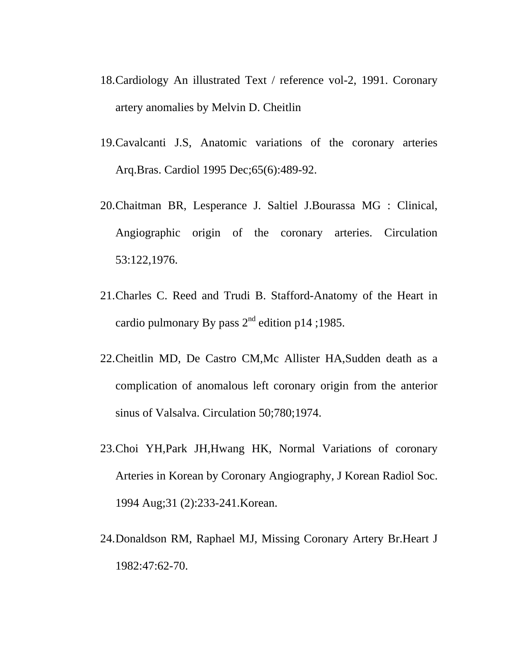- 18.Cardiology An illustrated Text / reference vol-2, 1991. Coronary artery anomalies by Melvin D. Cheitlin
- 19.Cavalcanti J.S, Anatomic variations of the coronary arteries Arq.Bras. Cardiol 1995 Dec;65(6):489-92.
- 20.Chaitman BR, Lesperance J. Saltiel J.Bourassa MG : Clinical, Angiographic origin of the coronary arteries. Circulation 53:122,1976.
- 21.Charles C. Reed and Trudi B. Stafford-Anatomy of the Heart in cardio pulmonary By pass  $2^{nd}$  edition p14 ;1985.
- 22.Cheitlin MD, De Castro CM,Mc Allister HA,Sudden death as a complication of anomalous left coronary origin from the anterior sinus of Valsalva. Circulation 50;780;1974.
- 23.Choi YH,Park JH,Hwang HK, Normal Variations of coronary Arteries in Korean by Coronary Angiography, J Korean Radiol Soc. 1994 Aug;31 (2):233-241.Korean.
- 24.Donaldson RM, Raphael MJ, Missing Coronary Artery Br.Heart J 1982:47:62-70.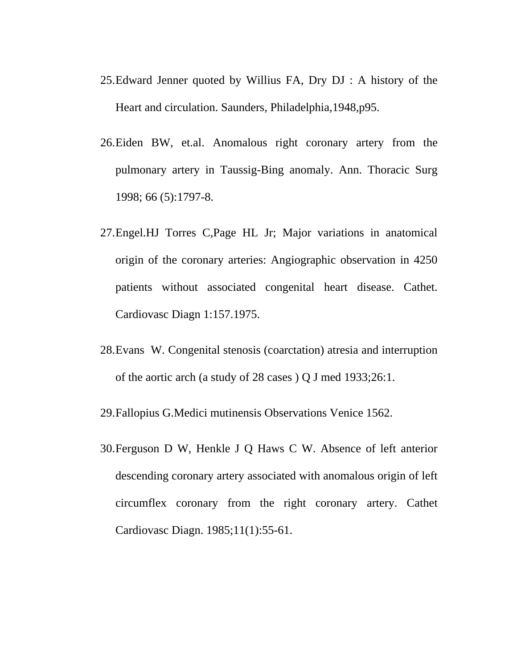- 25.Edward Jenner quoted by Willius FA, Dry DJ : A history of the Heart and circulation. Saunders, Philadelphia,1948,p95.
- 26.Eiden BW, et.al. Anomalous right coronary artery from the pulmonary artery in Taussig-Bing anomaly. Ann. Thoracic Surg 1998; 66 (5):1797-8.
- 27.Engel.HJ Torres C,Page HL Jr; Major variations in anatomical origin of the coronary arteries: Angiographic observation in 4250 patients without associated congenital heart disease. Cathet. Cardiovasc Diagn 1:157.1975.
- 28.Evans W. Congenital stenosis (coarctation) atresia and interruption of the aortic arch (a study of 28 cases ) Q J med 1933;26:1.

29.Fallopius G.Medici mutinensis Observations Venice 1562.

30.Ferguson D W, Henkle J Q Haws C W. Absence of left anterior descending coronary artery associated with anomalous origin of left circumflex coronary from the right coronary artery. Cathet Cardiovasc Diagn. 1985;11(1):55-61.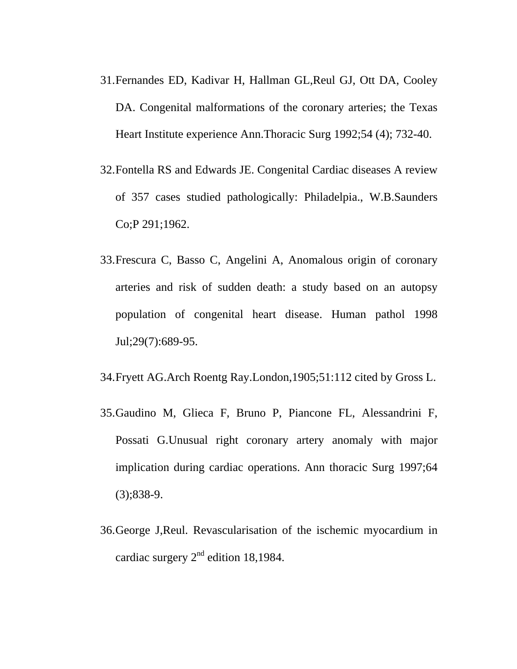- 31.Fernandes ED, Kadivar H, Hallman GL,Reul GJ, Ott DA, Cooley DA. Congenital malformations of the coronary arteries; the Texas Heart Institute experience Ann.Thoracic Surg 1992;54 (4); 732-40.
- 32.Fontella RS and Edwards JE. Congenital Cardiac diseases A review of 357 cases studied pathologically: Philadelpia., W.B.Saunders Co;P 291;1962.
- 33.Frescura C, Basso C, Angelini A, Anomalous origin of coronary arteries and risk of sudden death: a study based on an autopsy population of congenital heart disease. Human pathol 1998 Jul;29(7):689-95.
- 34.Fryett AG.Arch Roentg Ray.London,1905;51:112 cited by Gross L.
- 35.Gaudino M, Glieca F, Bruno P, Piancone FL, Alessandrini F, Possati G.Unusual right coronary artery anomaly with major implication during cardiac operations. Ann thoracic Surg 1997;64 (3);838-9.
- 36.George J,Reul. Revascularisation of the ischemic myocardium in cardiac surgery  $2<sup>nd</sup>$  edition 18,1984.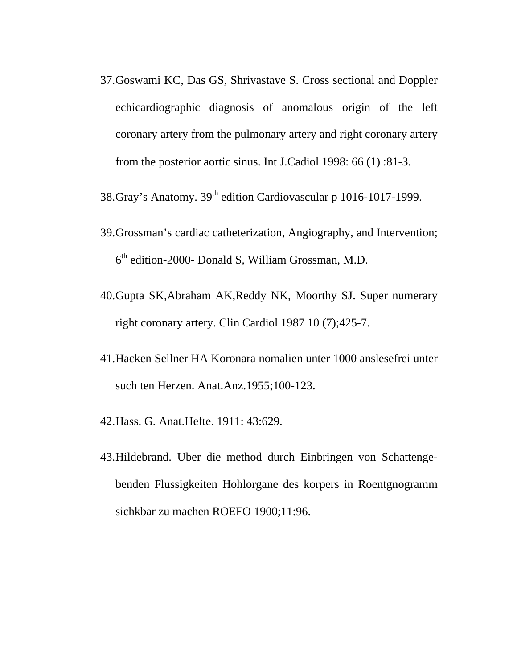- 37.Goswami KC, Das GS, Shrivastave S. Cross sectional and Doppler echicardiographic diagnosis of anomalous origin of the left coronary artery from the pulmonary artery and right coronary artery from the posterior aortic sinus. Int J.Cadiol 1998: 66 (1) :81-3.
- 38. Gray's Anatomy. 39<sup>th</sup> edition Cardiovascular p 1016-1017-1999.
- 39.Grossman's cardiac catheterization, Angiography, and Intervention; 6th edition-2000- Donald S, William Grossman, M.D.
- 40.Gupta SK,Abraham AK,Reddy NK, Moorthy SJ. Super numerary right coronary artery. Clin Cardiol 1987 10 (7);425-7.
- 41.Hacken Sellner HA Koronara nomalien unter 1000 anslesefrei unter such ten Herzen. Anat.Anz.1955;100-123.
- 42.Hass. G. Anat.Hefte. 1911: 43:629.
- 43.Hildebrand. Uber die method durch Einbringen von Schattengebenden Flussigkeiten Hohlorgane des korpers in Roentgnogramm sichkbar zu machen ROEFO 1900;11:96.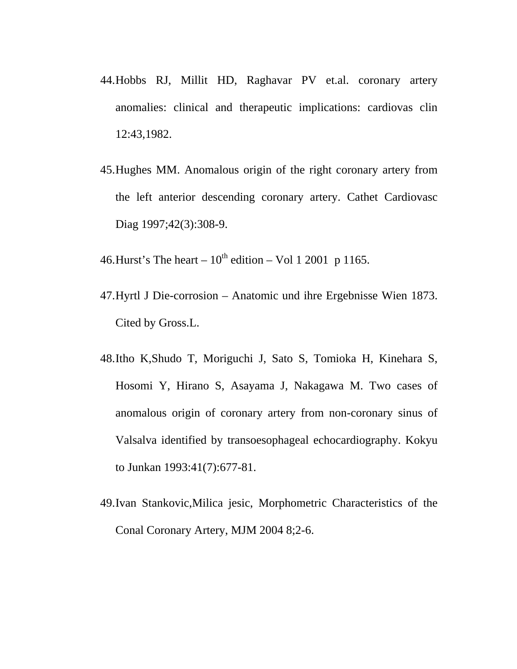- 44.Hobbs RJ, Millit HD, Raghavar PV et.al. coronary artery anomalies: clinical and therapeutic implications: cardiovas clin 12:43,1982.
- 45.Hughes MM. Anomalous origin of the right coronary artery from the left anterior descending coronary artery. Cathet Cardiovasc Diag 1997;42(3):308-9.
- 46. Hurst's The heart  $10^{th}$  edition Vol 1 2001 p 1165.
- 47.Hyrtl J Die-corrosion Anatomic und ihre Ergebnisse Wien 1873. Cited by Gross.L.
- 48.Itho K,Shudo T, Moriguchi J, Sato S, Tomioka H, Kinehara S, Hosomi Y, Hirano S, Asayama J, Nakagawa M. Two cases of anomalous origin of coronary artery from non-coronary sinus of Valsalva identified by transoesophageal echocardiography. Kokyu to Junkan 1993:41(7):677-81.
- 49.Ivan Stankovic,Milica jesic, Morphometric Characteristics of the Conal Coronary Artery, MJM 2004 8;2-6.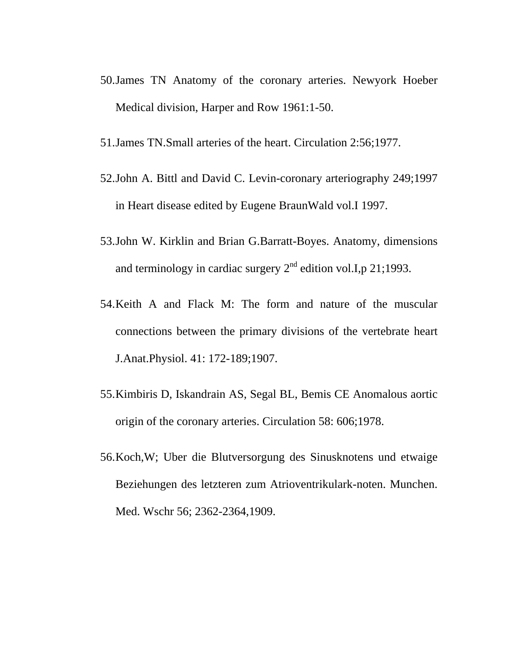- 50.James TN Anatomy of the coronary arteries. Newyork Hoeber Medical division, Harper and Row 1961:1-50.
- 51.James TN.Small arteries of the heart. Circulation 2:56;1977.
- 52.John A. Bittl and David C. Levin-coronary arteriography 249;1997 in Heart disease edited by Eugene BraunWald vol.I 1997.
- 53.John W. Kirklin and Brian G.Barratt-Boyes. Anatomy, dimensions and terminology in cardiac surgery  $2<sup>nd</sup>$  edition vol.I,p 21;1993.
- 54.Keith A and Flack M: The form and nature of the muscular connections between the primary divisions of the vertebrate heart J.Anat.Physiol. 41: 172-189;1907.
- 55.Kimbiris D, Iskandrain AS, Segal BL, Bemis CE Anomalous aortic origin of the coronary arteries. Circulation 58: 606;1978.
- 56.Koch,W; Uber die Blutversorgung des Sinusknotens und etwaige Beziehungen des letzteren zum Atrioventrikulark-noten. Munchen. Med. Wschr 56; 2362-2364,1909.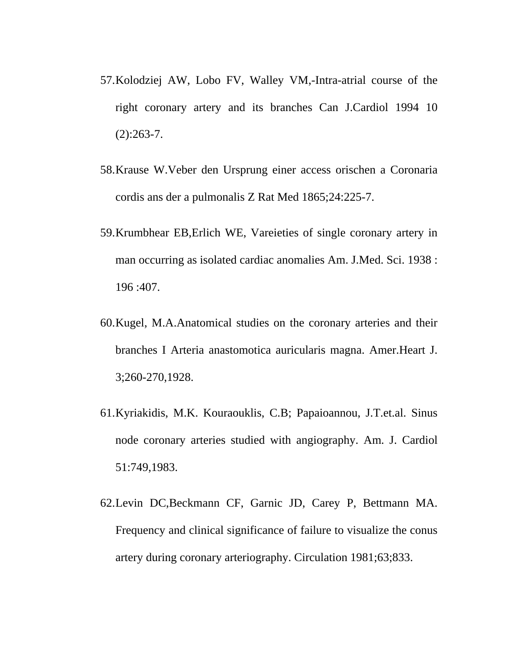- 57.Kolodziej AW, Lobo FV, Walley VM,-Intra-atrial course of the right coronary artery and its branches Can J.Cardiol 1994 10  $(2):263-7.$
- 58.Krause W.Veber den Ursprung einer access orischen a Coronaria cordis ans der a pulmonalis Z Rat Med 1865;24:225-7.
- 59.Krumbhear EB,Erlich WE, Vareieties of single coronary artery in man occurring as isolated cardiac anomalies Am. J.Med. Sci. 1938 : 196 :407.
- 60.Kugel, M.A.Anatomical studies on the coronary arteries and their branches I Arteria anastomotica auricularis magna. Amer.Heart J. 3;260-270,1928.
- 61.Kyriakidis, M.K. Kouraouklis, C.B; Papaioannou, J.T.et.al. Sinus node coronary arteries studied with angiography. Am. J. Cardiol 51:749,1983.
- 62.Levin DC,Beckmann CF, Garnic JD, Carey P, Bettmann MA. Frequency and clinical significance of failure to visualize the conus artery during coronary arteriography. Circulation 1981;63;833.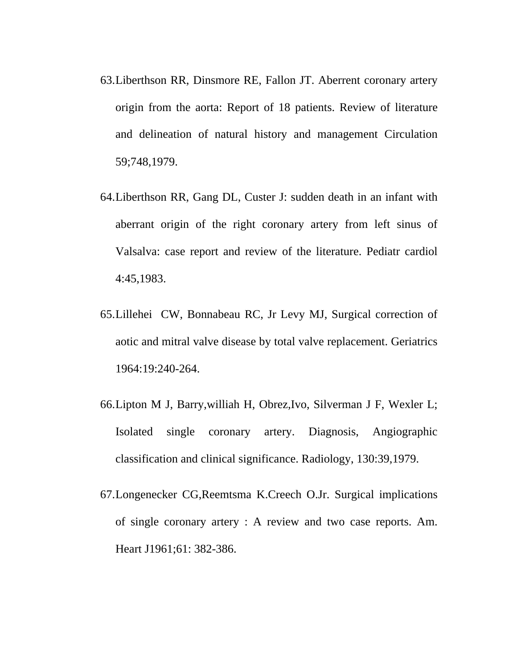- 63.Liberthson RR, Dinsmore RE, Fallon JT. Aberrent coronary artery origin from the aorta: Report of 18 patients. Review of literature and delineation of natural history and management Circulation 59;748,1979.
- 64.Liberthson RR, Gang DL, Custer J: sudden death in an infant with aberrant origin of the right coronary artery from left sinus of Valsalva: case report and review of the literature. Pediatr cardiol 4:45,1983.
- 65.Lillehei CW, Bonnabeau RC, Jr Levy MJ, Surgical correction of aotic and mitral valve disease by total valve replacement. Geriatrics 1964:19:240-264.
- 66.Lipton M J, Barry,williah H, Obrez,Ivo, Silverman J F, Wexler L; Isolated single coronary artery. Diagnosis, Angiographic classification and clinical significance. Radiology, 130:39,1979.
- 67.Longenecker CG,Reemtsma K.Creech O.Jr. Surgical implications of single coronary artery : A review and two case reports. Am. Heart J1961;61: 382-386.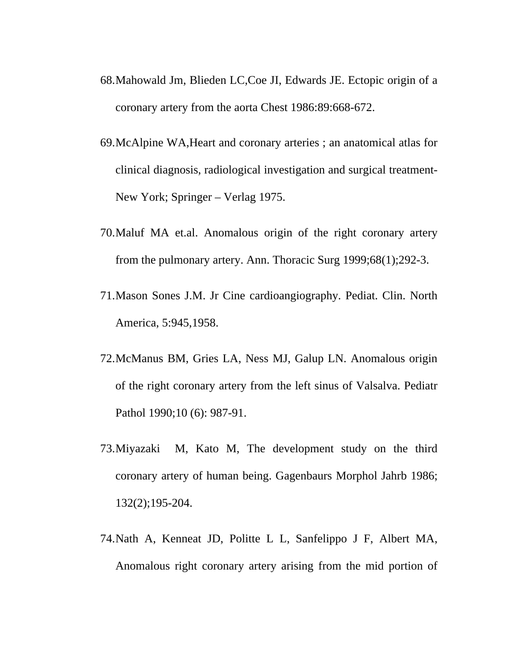- 68.Mahowald Jm, Blieden LC,Coe JI, Edwards JE. Ectopic origin of a coronary artery from the aorta Chest 1986:89:668-672.
- 69.McAlpine WA,Heart and coronary arteries ; an anatomical atlas for clinical diagnosis, radiological investigation and surgical treatment-New York; Springer – Verlag 1975.
- 70.Maluf MA et.al. Anomalous origin of the right coronary artery from the pulmonary artery. Ann. Thoracic Surg 1999;68(1);292-3.
- 71.Mason Sones J.M. Jr Cine cardioangiography. Pediat. Clin. North America, 5:945,1958.
- 72.McManus BM, Gries LA, Ness MJ, Galup LN. Anomalous origin of the right coronary artery from the left sinus of Valsalva. Pediatr Pathol 1990;10 (6): 987-91.
- 73.Miyazaki M, Kato M, The development study on the third coronary artery of human being. Gagenbaurs Morphol Jahrb 1986; 132(2);195-204.
- 74.Nath A, Kenneat JD, Politte L L, Sanfelippo J F, Albert MA, Anomalous right coronary artery arising from the mid portion of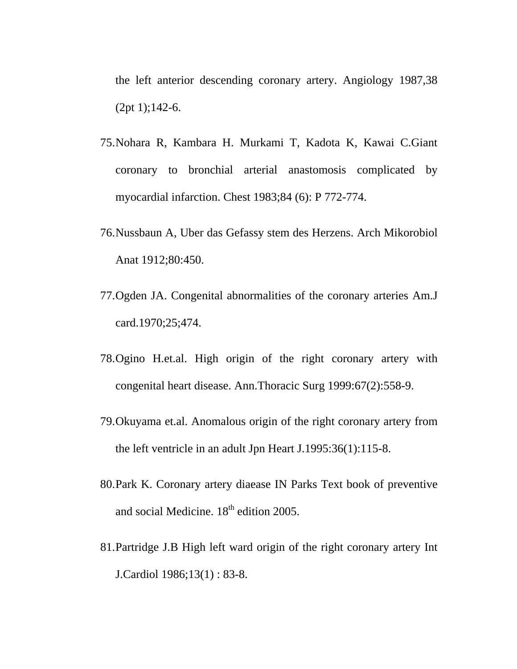the left anterior descending coronary artery. Angiology 1987,38 (2pt 1);142-6.

- 75.Nohara R, Kambara H. Murkami T, Kadota K, Kawai C.Giant coronary to bronchial arterial anastomosis complicated by myocardial infarction. Chest 1983;84 (6): P 772-774.
- 76.Nussbaun A, Uber das Gefassy stem des Herzens. Arch Mikorobiol Anat 1912;80:450.
- 77.Ogden JA. Congenital abnormalities of the coronary arteries Am.J card.1970;25;474.
- 78.Ogino H.et.al. High origin of the right coronary artery with congenital heart disease. Ann.Thoracic Surg 1999:67(2):558-9.
- 79.Okuyama et.al. Anomalous origin of the right coronary artery from the left ventricle in an adult Jpn Heart J.1995:36(1):115-8.
- 80.Park K. Coronary artery diaease IN Parks Text book of preventive and social Medicine.  $18<sup>th</sup>$  edition 2005.
- 81.Partridge J.B High left ward origin of the right coronary artery Int J.Cardiol 1986;13(1) : 83-8.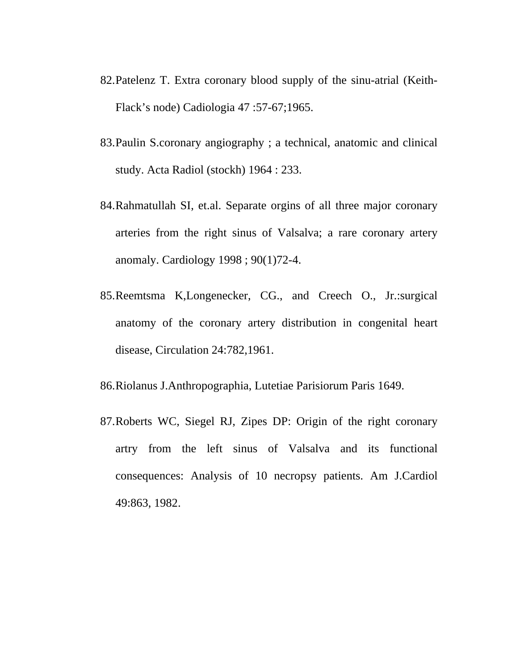- 82.Patelenz T. Extra coronary blood supply of the sinu-atrial (Keith-Flack's node) Cadiologia 47 :57-67;1965.
- 83.Paulin S.coronary angiography ; a technical, anatomic and clinical study. Acta Radiol (stockh) 1964 : 233.
- 84.Rahmatullah SI, et.al. Separate orgins of all three major coronary arteries from the right sinus of Valsalva; a rare coronary artery anomaly. Cardiology 1998 ; 90(1)72-4.
- 85.Reemtsma K,Longenecker, CG., and Creech O., Jr.:surgical anatomy of the coronary artery distribution in congenital heart disease, Circulation 24:782,1961.
- 86.Riolanus J.Anthropographia, Lutetiae Parisiorum Paris 1649.
- 87.Roberts WC, Siegel RJ, Zipes DP: Origin of the right coronary artry from the left sinus of Valsalva and its functional consequences: Analysis of 10 necropsy patients. Am J.Cardiol 49:863, 1982.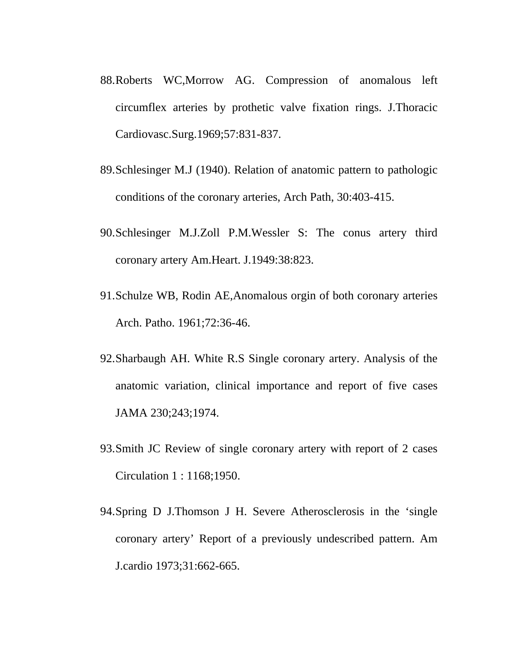- 88.Roberts WC,Morrow AG. Compression of anomalous left circumflex arteries by prothetic valve fixation rings. J.Thoracic Cardiovasc.Surg.1969;57:831-837.
- 89.Schlesinger M.J (1940). Relation of anatomic pattern to pathologic conditions of the coronary arteries, Arch Path, 30:403-415.
- 90.Schlesinger M.J.Zoll P.M.Wessler S: The conus artery third coronary artery Am.Heart. J.1949:38:823.
- 91.Schulze WB, Rodin AE,Anomalous orgin of both coronary arteries Arch. Patho. 1961;72:36-46.
- 92.Sharbaugh AH. White R.S Single coronary artery. Analysis of the anatomic variation, clinical importance and report of five cases JAMA 230;243;1974.
- 93.Smith JC Review of single coronary artery with report of 2 cases Circulation 1 : 1168;1950.
- 94.Spring D J.Thomson J H. Severe Atherosclerosis in the 'single coronary artery' Report of a previously undescribed pattern. Am J.cardio 1973;31:662-665.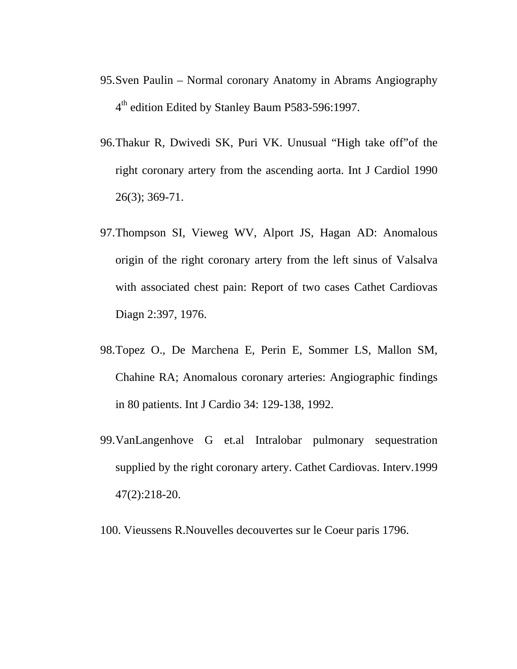- 95.Sven Paulin Normal coronary Anatomy in Abrams Angiography 4<sup>th</sup> edition Edited by Stanley Baum P583-596:1997.
- 96.Thakur R, Dwivedi SK, Puri VK. Unusual "High take off"of the right coronary artery from the ascending aorta. Int J Cardiol 1990 26(3); 369-71.
- 97.Thompson SI, Vieweg WV, Alport JS, Hagan AD: Anomalous origin of the right coronary artery from the left sinus of Valsalva with associated chest pain: Report of two cases Cathet Cardiovas Diagn 2:397, 1976.
- 98.Topez O., De Marchena E, Perin E, Sommer LS, Mallon SM, Chahine RA; Anomalous coronary arteries: Angiographic findings in 80 patients. Int J Cardio 34: 129-138, 1992.
- 99.VanLangenhove G et.al Intralobar pulmonary sequestration supplied by the right coronary artery. Cathet Cardiovas. Interv.1999 47(2):218-20.
- 100. Vieussens R.Nouvelles decouvertes sur le Coeur paris 1796.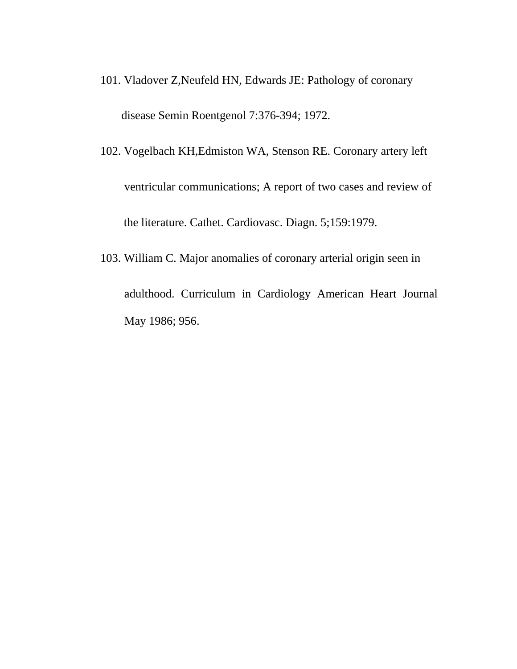- 101. Vladover Z,Neufeld HN, Edwards JE: Pathology of coronary disease Semin Roentgenol 7:376-394; 1972.
- 102. Vogelbach KH,Edmiston WA, Stenson RE. Coronary artery left ventricular communications; A report of two cases and review of the literature. Cathet. Cardiovasc. Diagn. 5;159:1979.
- 103. William C. Major anomalies of coronary arterial origin seen in adulthood. Curriculum in Cardiology American Heart Journal May 1986; 956.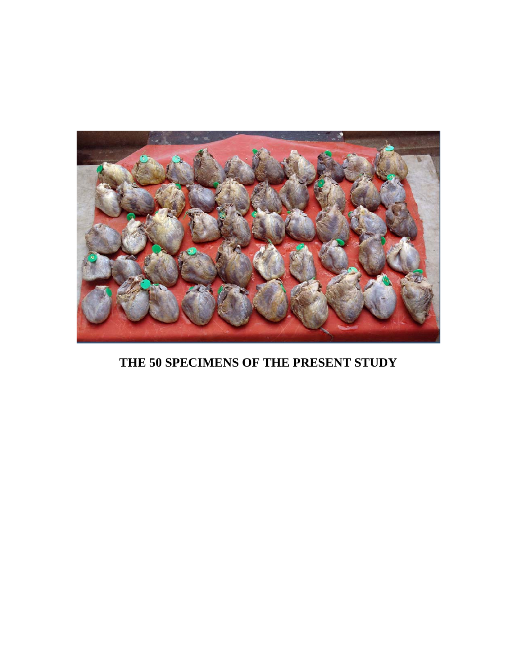

**THE 50 SPECIMENS OF THE PRESENT STUDY**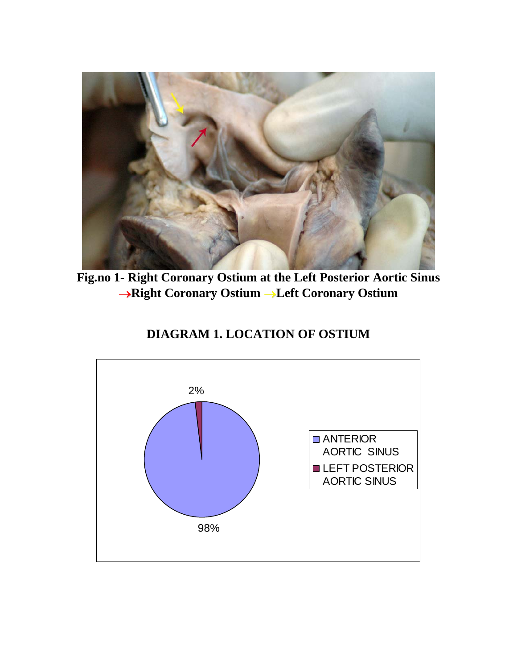

**Fig.no 1- Right Coronary Ostium at the Left Posterior Aortic Sinus**  →**Right Coronary Ostium** →**Left Coronary Ostium** 

## **DIAGRAM 1. LOCATION OF OSTIUM**

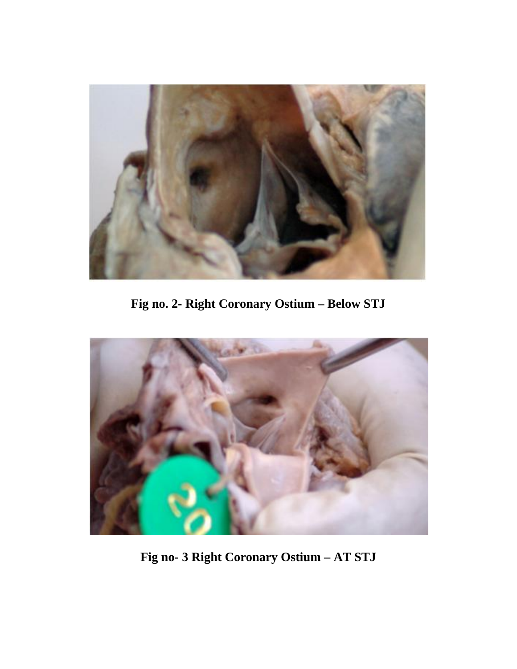

**Fig no. 2- Right Coronary Ostium – Below STJ** 



**Fig no- 3 Right Coronary Ostium – AT STJ**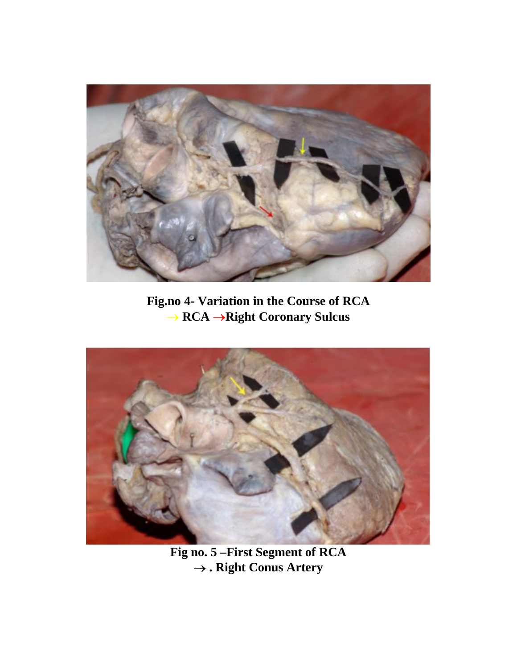

**Fig.no 4- Variation in the Course of RCA**  → **RCA** →**Right Coronary Sulcus** 



**Fig no. 5 –First Segment of RCA**  → **. Right Conus Artery**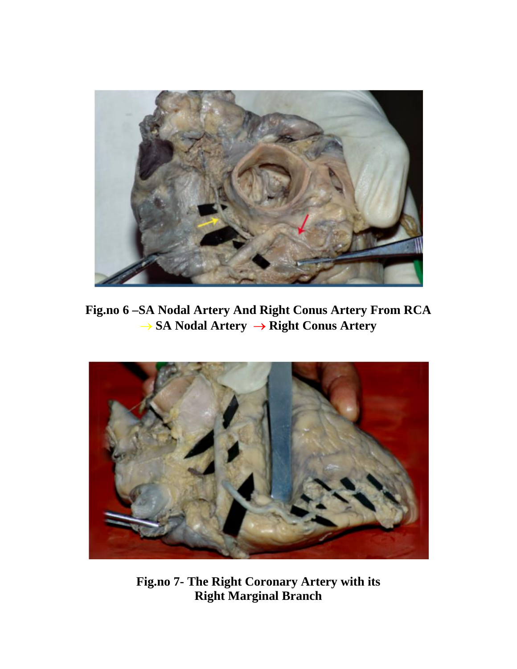

**Fig.no 6 –SA Nodal Artery And Right Conus Artery From RCA**  → **SA Nodal Artery** → **Right Conus Artery** 



**Fig.no 7- The Right Coronary Artery with its Right Marginal Branch**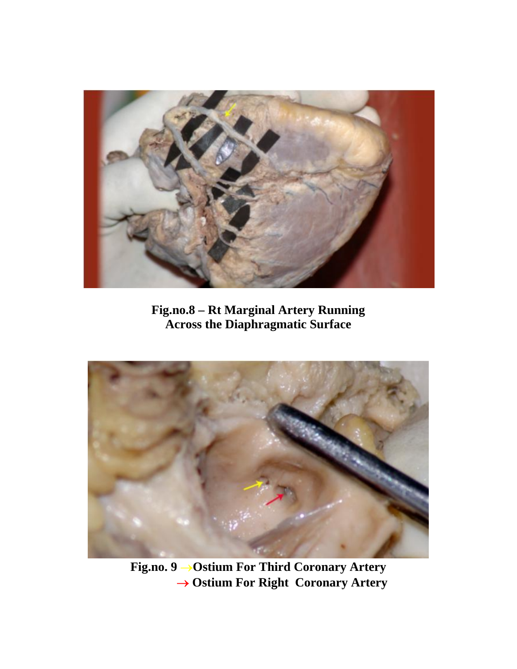

**Fig.no.8 – Rt Marginal Artery Running Across the Diaphragmatic Surface** 



**Fig.no. 9** →**Ostium For Third Coronary Artery** → **Ostium For Right Coronary Artery**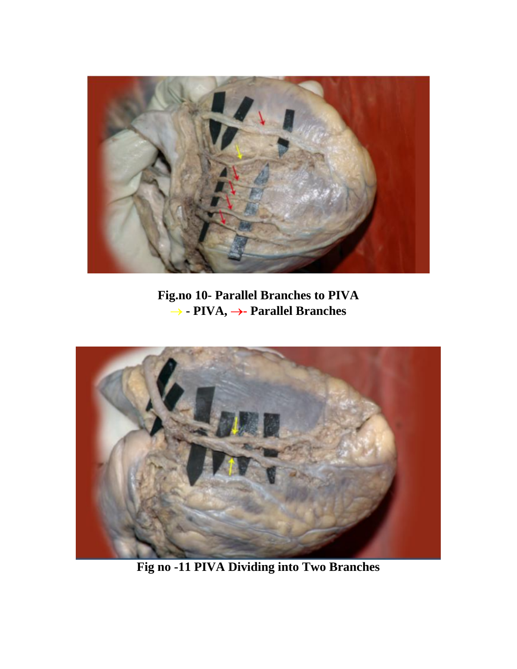

**Fig.no 10- Parallel Branches to PIVA**  → **- PIVA,** →**- Parallel Branches** 



**Fig no -11 PIVA Dividing into Two Branches**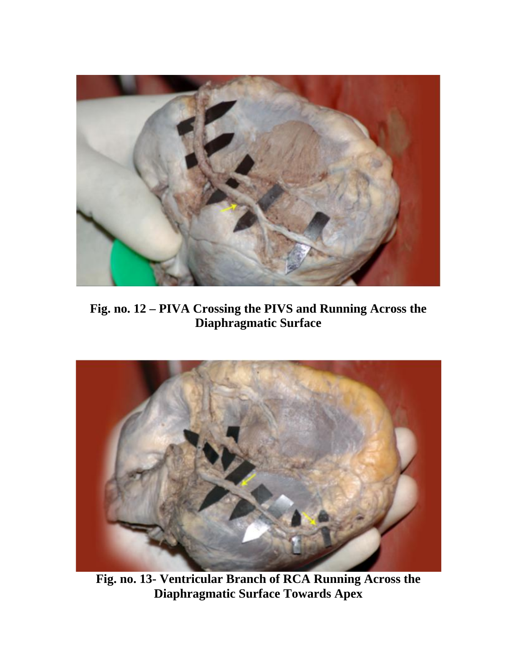

**Fig. no. 12 – PIVA Crossing the PIVS and Running Across the Diaphragmatic Surface** 



**Fig. no. 13- Ventricular Branch of RCA Running Across the Diaphragmatic Surface Towards Apex**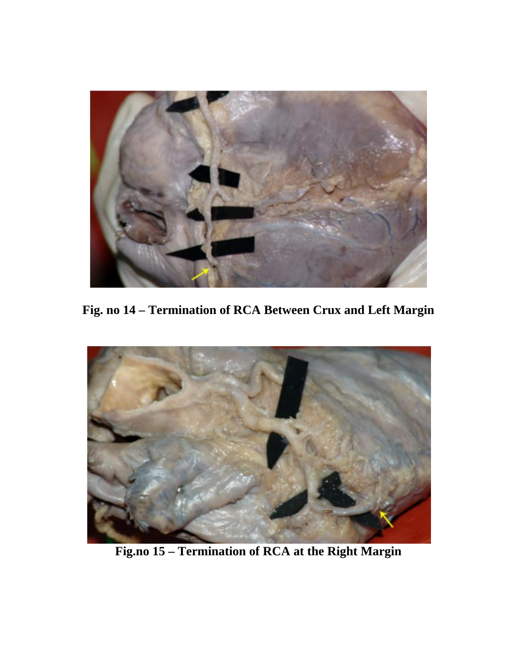

**Fig. no 14 – Termination of RCA Between Crux and Left Margin** 



**Fig.no 15 – Termination of RCA at the Right Margin**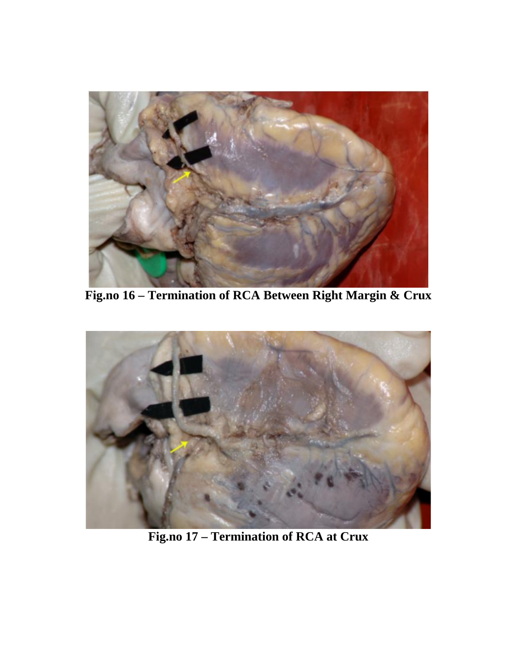

**Fig.no 16 – Termination of RCA Between Right Margin & Crux** 



**Fig.no 17 – Termination of RCA at Crux**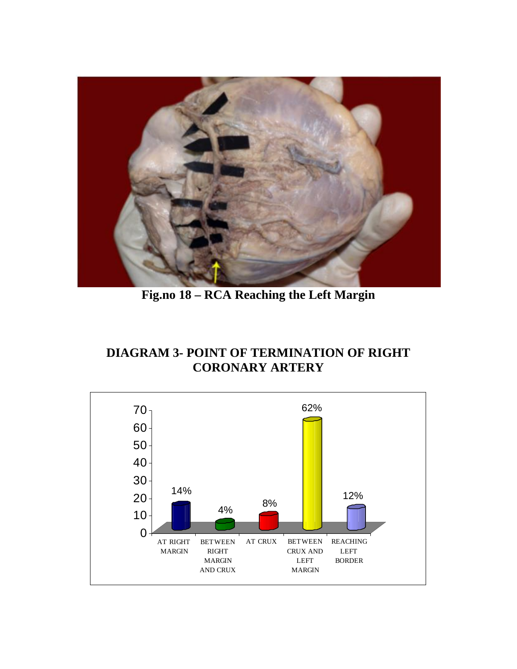

**Fig.no 18 – RCA Reaching the Left Margin** 

## **DIAGRAM 3- POINT OF TERMINATION OF RIGHT CORONARY ARTERY**

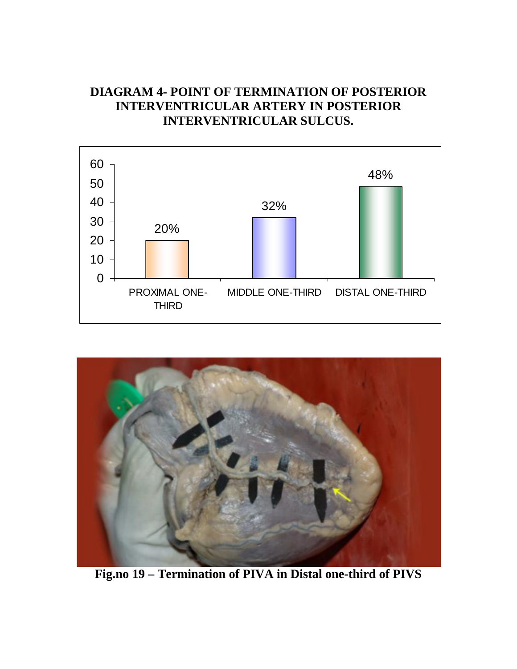## **DIAGRAM 4- POINT OF TERMINATION OF POSTERIOR INTERVENTRICULAR ARTERY IN POSTERIOR INTERVENTRICULAR SULCUS.**





**Fig.no 19 – Termination of PIVA in Distal one-third of PIVS**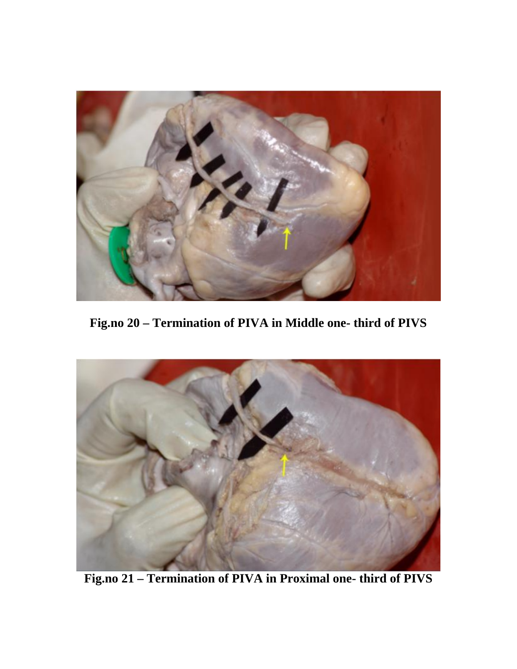

**Fig.no 20 – Termination of PIVA in Middle one- third of PIVS** 



**Fig.no 21 – Termination of PIVA in Proximal one- third of PIVS**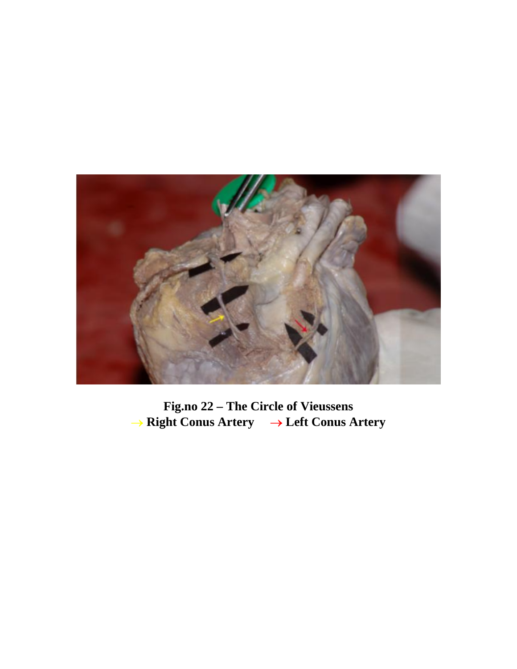

**Fig.no 22 – The Circle of Vieussens**  → **Right Conus Artery** → **Left Conus Artery**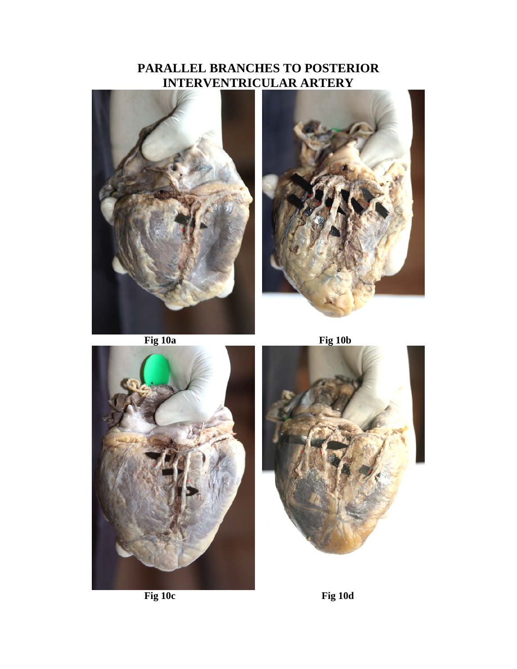## **PARALLEL BRANCHES TO POSTERIOR INTERVENTRICULAR ARTERY**







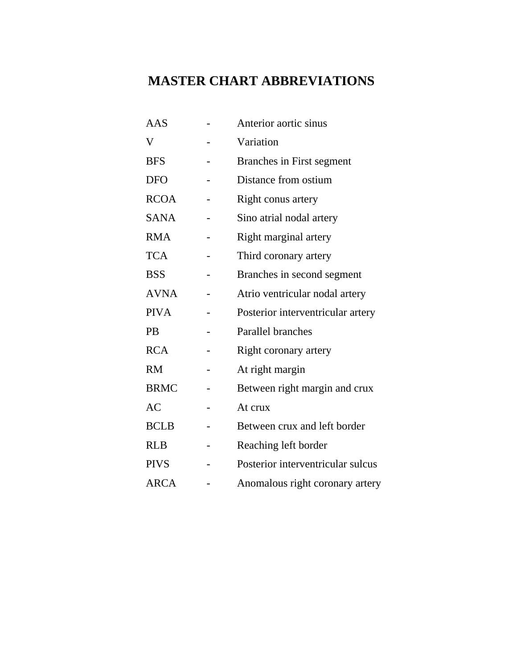# **MASTER CHART ABBREVIATIONS**

| AAS         | Anterior aortic sinus             |
|-------------|-----------------------------------|
| V           | Variation                         |
| <b>BFS</b>  | Branches in First segment         |
| <b>DFO</b>  | Distance from ostium              |
| <b>RCOA</b> | Right conus artery                |
| <b>SANA</b> | Sino atrial nodal artery          |
| <b>RMA</b>  | Right marginal artery             |
| <b>TCA</b>  | Third coronary artery             |
| <b>BSS</b>  | Branches in second segment        |
| <b>AVNA</b> | Atrio ventricular nodal artery    |
| <b>PIVA</b> | Posterior interventricular artery |
| PB          | Parallel branches                 |
| <b>RCA</b>  | Right coronary artery             |
| <b>RM</b>   | At right margin                   |
| <b>BRMC</b> | Between right margin and crux     |
| <b>AC</b>   | At crux                           |
| <b>BCLB</b> | Between crux and left border      |
| <b>RLB</b>  | Reaching left border              |
| <b>PIVS</b> | Posterior interventricular sulcus |
| <b>ARCA</b> | Anomalous right coronary artery   |
|             |                                   |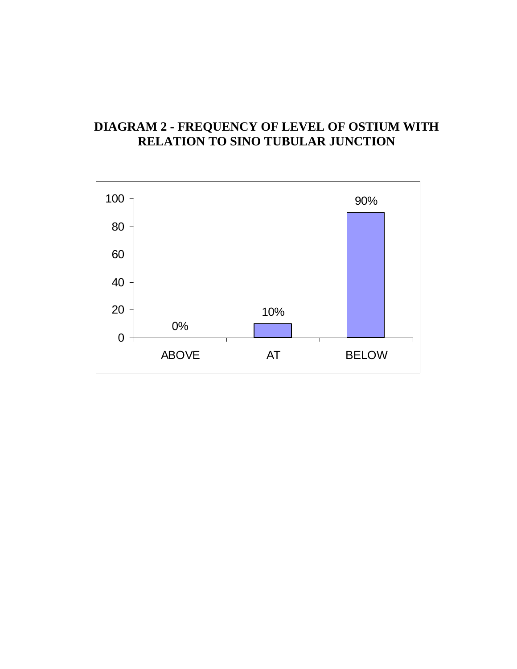### **DIAGRAM 2 - FREQUENCY OF LEVEL OF OSTIUM WITH RELATION TO SINO TUBULAR JUNCTION**

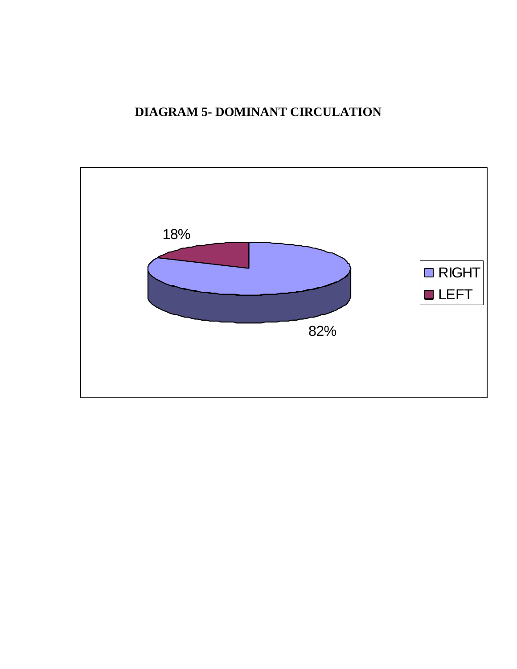## **DIAGRAM 5- DOMINANT CIRCULATION**

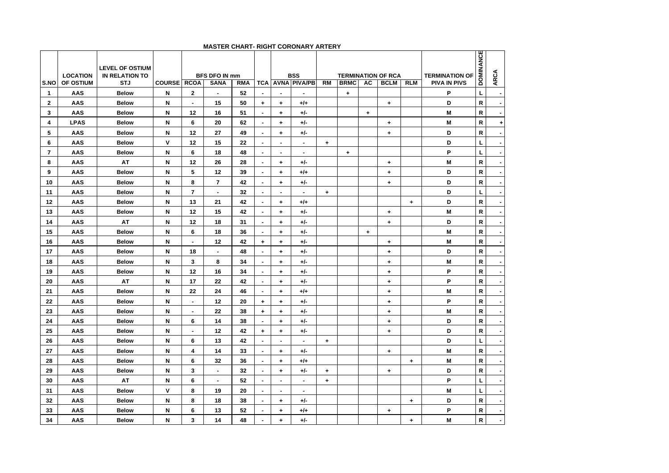| S.NO           | <b>LOCATION</b><br><b>OF OSTIUM</b> | <b>LEVEL OF OSTIUM</b><br><b>IN RELATION TO</b><br><b>STJ</b> |              | <b>BFS DFO IN mm</b><br><b>COURSE RCOA</b><br><b>SANA</b><br><b>RMA</b> |                |    |                          |                      | <b>BSS</b>                            | RM        | <b>BRMC</b> | <b>AC</b> | <b>TERMINATION OF RCA</b><br><b>BCLM</b> | <b>TERMINATION OF</b><br><b>PIVA IN PIVS</b> | <b>DOMINANCE</b> | <b>ARCA</b>  |                |
|----------------|-------------------------------------|---------------------------------------------------------------|--------------|-------------------------------------------------------------------------|----------------|----|--------------------------|----------------------|---------------------------------------|-----------|-------------|-----------|------------------------------------------|----------------------------------------------|------------------|--------------|----------------|
| $\mathbf{1}$   | AAS                                 | <b>Below</b>                                                  | N            | $\mathbf{2}$                                                            | $\blacksquare$ | 52 | TCA<br>$\blacksquare$    | $\blacksquare$       | <b>AVNA PIVA/PB</b><br>$\blacksquare$ |           | ٠           |           |                                          | <b>RLM</b>                                   | P                | L            | $\sim$         |
| $\mathbf{2}$   | AAS                                 | <b>Below</b>                                                  | N            | $\blacksquare$                                                          | 15             | 50 | $\ddot{}$                | $\ddot{}$            | $+/-$                                 |           |             |           | ٠                                        |                                              | D                | $\mathsf{R}$ | $\blacksquare$ |
| 3              | AAS                                 | <b>Below</b>                                                  | N            | 12                                                                      | 16             | 51 | $\blacksquare$           | $\ddot{}$            | $+/-$                                 |           |             | $\ddot{}$ |                                          |                                              | M                | $\mathsf{R}$ | $\blacksquare$ |
| 4              | <b>LPAS</b>                         | <b>Below</b>                                                  | N            | 6                                                                       | 20             | 62 | $\sim$                   | $\ddot{\phantom{1}}$ | $+/-$                                 |           |             |           | ٠                                        |                                              | M                | R            | $\ddot{}$      |
| 5              | AAS                                 | <b>Below</b>                                                  | N            | 12                                                                      | 27             | 49 | $\overline{\phantom{a}}$ | $\ddot{}$            | $+/-$                                 |           |             |           | $\ddag$                                  |                                              | D                | ${\sf R}$    | $\blacksquare$ |
| 6              | AAS                                 | <b>Below</b>                                                  | V            | 12                                                                      | 15             | 22 | $\sim$                   | $\blacksquare$       | ٠                                     | ٠         |             |           |                                          |                                              | D                | L            | $\blacksquare$ |
| $\overline{7}$ | AAS                                 | <b>Below</b>                                                  | N            | 6                                                                       | 18             | 48 | $\blacksquare$           | $\blacksquare$       | ٠                                     |           | +           |           |                                          |                                              | P                | L            | $\blacksquare$ |
| 8              | AAS                                 | AT                                                            | N            | 12                                                                      | 26             | 28 | $\blacksquare$           | $\ddot{}$            | $+/-$                                 |           |             |           | $\ddag$                                  |                                              | M                | $\mathsf{R}$ | $\blacksquare$ |
| 9              | AAS                                 | <b>Below</b>                                                  | N            | 5                                                                       | 12             | 39 | $\blacksquare$           | $\ddot{}$            | $+/-$                                 |           |             |           | ٠                                        |                                              | D                | R            | $\blacksquare$ |
| 10             | AAS                                 | <b>Below</b>                                                  | N            | 8                                                                       | $\overline{7}$ | 42 | $\blacksquare$           | $\ddot{}$            | $+/-$                                 |           |             |           | $\ddag$                                  |                                              | D                | $\mathsf{R}$ | $\blacksquare$ |
| 11             | AAS                                 | <b>Below</b>                                                  | N            | $\overline{7}$                                                          | $\blacksquare$ | 32 | $\blacksquare$           | $\blacksquare$       | $\blacksquare$                        | $\ddot{}$ |             |           |                                          |                                              | D                | L            | $\blacksquare$ |
| 12             | AAS                                 | <b>Below</b>                                                  | N            | 13                                                                      | 21             | 42 | $\overline{\phantom{a}}$ | $\ddot{}$            | $+/-$                                 |           |             |           |                                          | $\ddot{}$                                    | D                | R            | $\blacksquare$ |
| 13             | AAS                                 | <b>Below</b>                                                  | N            | 12                                                                      | 15             | 42 | $\blacksquare$           | ۰.                   | $+/-$                                 |           |             |           | ÷                                        |                                              | M                | $\mathsf{R}$ | $\blacksquare$ |
| 14             | <b>AAS</b>                          | AT                                                            | N            | 12                                                                      | 18             | 31 | $\overline{\phantom{a}}$ | $\ddot{}$            | $+/-$                                 |           |             |           | $\ddot{}$                                |                                              | D                | R            | $\blacksquare$ |
| 15             | AAS                                 | <b>Below</b>                                                  | N            | 6                                                                       | 18             | 36 | $\blacksquare$           | $\ddot{\phantom{1}}$ | $+/-$                                 |           |             | ٠         |                                          |                                              | M                | $\mathsf{R}$ | ٠              |
| 16             | <b>AAS</b>                          | <b>Below</b>                                                  | N            | $\blacksquare$                                                          | 12             | 42 | $\ddot{}$                | $\ddot{}$            | $+/-$                                 |           |             |           | ٠                                        |                                              | M                | R            | ٠              |
| 17             | AAS                                 | <b>Below</b>                                                  | N            | 18                                                                      |                | 48 | $\blacksquare$           | $\ddot{}$            | $+/-$                                 |           |             |           | ÷                                        |                                              | D                | $\mathsf{R}$ | $\blacksquare$ |
| 18             | AAS                                 | <b>Below</b>                                                  | N            | 3                                                                       | 8              | 34 | $\blacksquare$           | $\ddot{\phantom{1}}$ | $+/-$                                 |           |             |           | $\ddot{}$                                |                                              | M                | $\mathsf{R}$ | ٠              |
| 19             | AAS                                 | <b>Below</b>                                                  | N            | 12                                                                      | 16             | 34 | $\blacksquare$           | ۰.                   | +/-                                   |           |             |           | ÷                                        |                                              | P                | R            | $\blacksquare$ |
| 20             | AAS                                 | AT                                                            | N            | 17                                                                      | 22             | 42 | $\blacksquare$           | $\ddot{\phantom{1}}$ | $+/-$                                 |           |             |           | $\ddot{}$                                |                                              | P                | $\mathsf{R}$ | ٠              |
| 21             | AAS                                 | <b>Below</b>                                                  | N            | 22                                                                      | 24             | 46 | $\blacksquare$           | $\ddot{\phantom{1}}$ | $+/-$                                 |           |             |           | ÷                                        |                                              | M                | R            | $\blacksquare$ |
| 22             | <b>AAS</b>                          | <b>Below</b>                                                  | N            | ٠                                                                       | 12             | 20 | ۰.                       | $\ddot{}$            | $+/-$                                 |           |             |           | $\ddot{}$                                |                                              | P                | $\mathsf{R}$ | $\blacksquare$ |
| 23             | AAS                                 | <b>Below</b>                                                  | N            | $\overline{\phantom{a}}$                                                | 22             | 38 | $\ddag$                  | +                    | $+/-$                                 |           |             |           | ٠                                        |                                              | M                | R            | $\blacksquare$ |
| 24             | AAS                                 | <b>Below</b>                                                  | N            | 6                                                                       | 14             | 38 | $\blacksquare$           | ٠                    | $+/-$                                 |           |             |           | ÷                                        |                                              | D                | R            | $\blacksquare$ |
| 25             | AAS                                 | <b>Below</b>                                                  | N            | $\blacksquare$                                                          | 12             | 42 | $\ddot{\phantom{1}}$     | $\ddot{}$            | $+/-$                                 |           |             |           | $\ddot{}$                                |                                              | D                | R            | $\blacksquare$ |
| 26             | AAS                                 | <b>Below</b>                                                  | N            | 6                                                                       | 13             | 42 | $\blacksquare$           | $\blacksquare$       | $\blacksquare$                        | $\ddot{}$ |             |           |                                          |                                              | D                | L            | $\blacksquare$ |
| 27             | AAS                                 | <b>Below</b>                                                  | N            | 4                                                                       | 14             | 33 | $\sim$                   | ٠                    | $+/-$                                 |           |             |           | $\ddot{}$                                |                                              | M                | R            | $\blacksquare$ |
| 28             | AAS                                 | <b>Below</b>                                                  | N            | 6                                                                       | 32             | 36 | $\sim$                   | ٠                    | +/+                                   |           |             |           |                                          | $\ddot{}$                                    | M                | $\mathbf R$  | $\blacksquare$ |
| 29             | AAS                                 | <b>Below</b>                                                  | N            | 3                                                                       | $\blacksquare$ | 32 | $\sim$                   | ٠                    | $+/-$                                 | $\ddot{}$ |             |           | ÷                                        |                                              | D                | $\mathbf R$  | $\blacksquare$ |
| 30             | AAS                                 | AT                                                            | N            | 6                                                                       | $\blacksquare$ | 52 | $\blacksquare$           | $\blacksquare$       | $\blacksquare$                        | ٠         |             |           |                                          |                                              | P                | L            | ٠              |
| 31             | AAS                                 | <b>Below</b>                                                  | $\mathsf{v}$ | 8                                                                       | 19             | 20 | $\blacksquare$           | $\blacksquare$       | $\blacksquare$                        |           |             |           |                                          |                                              | M                | L            | $\blacksquare$ |
| 32             | AAS                                 | <b>Below</b>                                                  | N            | 8                                                                       | 18             | 38 | $\blacksquare$           | ٠                    | $+/-$                                 |           |             |           |                                          | $\ddot{}$                                    | D                | $\mathbf R$  | ä,             |
| 33             | AAS                                 | <b>Below</b>                                                  | N            | 6                                                                       | 13             | 52 | $\blacksquare$           | ٠                    | $+/-$                                 |           |             |           | $\ddag$                                  |                                              | P                | $\mathbf R$  | ä,             |
| 34             | AAS                                 | <b>Below</b>                                                  | N            | 3                                                                       | 14             | 48 | ÷                        | $\ddot{}$            | $+/-$                                 |           |             |           |                                          | $\ddot{}$                                    | M                | $\mathsf R$  | $\blacksquare$ |

#### **MASTER CHART- RIGHT CORONARY ARTERY**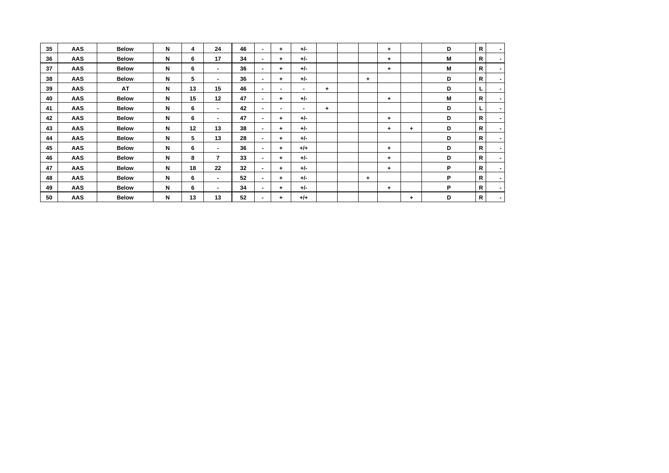| 35 | <b>AAS</b> | <b>Below</b> | N | 4  | 24             | 46 | ۰.  | $\ddot{}$                | $+/-$ |    |           | $\ddot{}$ |    | D | R            | $\sim$                   |
|----|------------|--------------|---|----|----------------|----|-----|--------------------------|-------|----|-----------|-----------|----|---|--------------|--------------------------|
| 36 | <b>AAS</b> | <b>Below</b> | N | 6  | 17             | 34 |     | $\ddot{}$                | $+/-$ |    |           | $\ddot{}$ |    | М | R            | $\sim$                   |
| 37 | <b>AAS</b> | <b>Below</b> | N | 6  |                | 36 |     | $\ddot{}$                | $+/-$ |    |           | $\ddot{}$ |    | М | R            | ٠                        |
| 38 | <b>AAS</b> | <b>Below</b> | N | 5  |                | 36 | ۰.  | $\ddot{}$                | $+/-$ |    | ÷         |           |    | D | R            | ٠                        |
| 39 | AAS        | AT           | N | 13 | 15             | 46 | . . | ۰                        | ۰.    | ÷. |           |           |    | D |              | $\sim$                   |
| 40 | AAS        | <b>Below</b> | N | 15 | 12             | 47 | ۰.  | $\ddot{}$                | $+/-$ |    |           | ÷         |    | М | R            | $\sim$                   |
| 41 | AAS        | <b>Below</b> | N | 6  | ۰.             | 42 |     | $\overline{\phantom{a}}$ | ۰.    | ÷. |           |           |    | D |              | $\overline{\phantom{a}}$ |
| 42 | <b>AAS</b> | <b>Below</b> | N | 6  |                | 47 | ۰.  | $\ddot{}$                | $+/-$ |    |           | ÷         |    | D | R            | ۰                        |
| 43 | <b>AAS</b> | <b>Below</b> | N | 12 | 13             | 38 |     | $\ddot{}$                | $+/-$ |    |           | $\ddot{}$ | ÷. | D | R            | $\sim$                   |
| 44 | AAS        | <b>Below</b> | N | 5  | 13             | 28 | ۰.  | $\ddot{}$                | $+/-$ |    |           |           |    | D | R            | $\sim$                   |
| 45 | <b>AAS</b> | <b>Below</b> | N | 6  |                | 36 | ۰.  | $\ddot{}$                | $+/-$ |    |           | $\ddot{}$ |    | D | R            | $\sim$                   |
| 46 | <b>AAS</b> | <b>Below</b> | N | 8  | $\overline{7}$ | 33 | ۰.  | $\ddot{}$                | $+/-$ |    |           | ÷         |    | D | R            | ٠                        |
| 47 | AAS        | <b>Below</b> | N | 18 | 22             | 32 | ۰.  | $\ddot{}$                | $+/-$ |    |           | $\ddot{}$ |    | P | R            | $\sim$                   |
| 48 | AAS        | <b>Below</b> | N | 6  | $\blacksquare$ | 52 | ۰.  | $\ddot{}$                | $+/-$ |    | $\ddot{}$ |           |    | P | $\mathsf{R}$ | $\sim$                   |
| 49 | <b>AAS</b> | <b>Below</b> | N | 6  |                | 34 |     | $\ddot{}$                | $+/-$ |    |           | ÷         |    | P | R            |                          |
| 50 | AAS        | <b>Below</b> | N | 13 | 13             | 52 |     | $\ddot{}$                | $+/-$ |    |           |           | ٠  | D | R            | ٠                        |